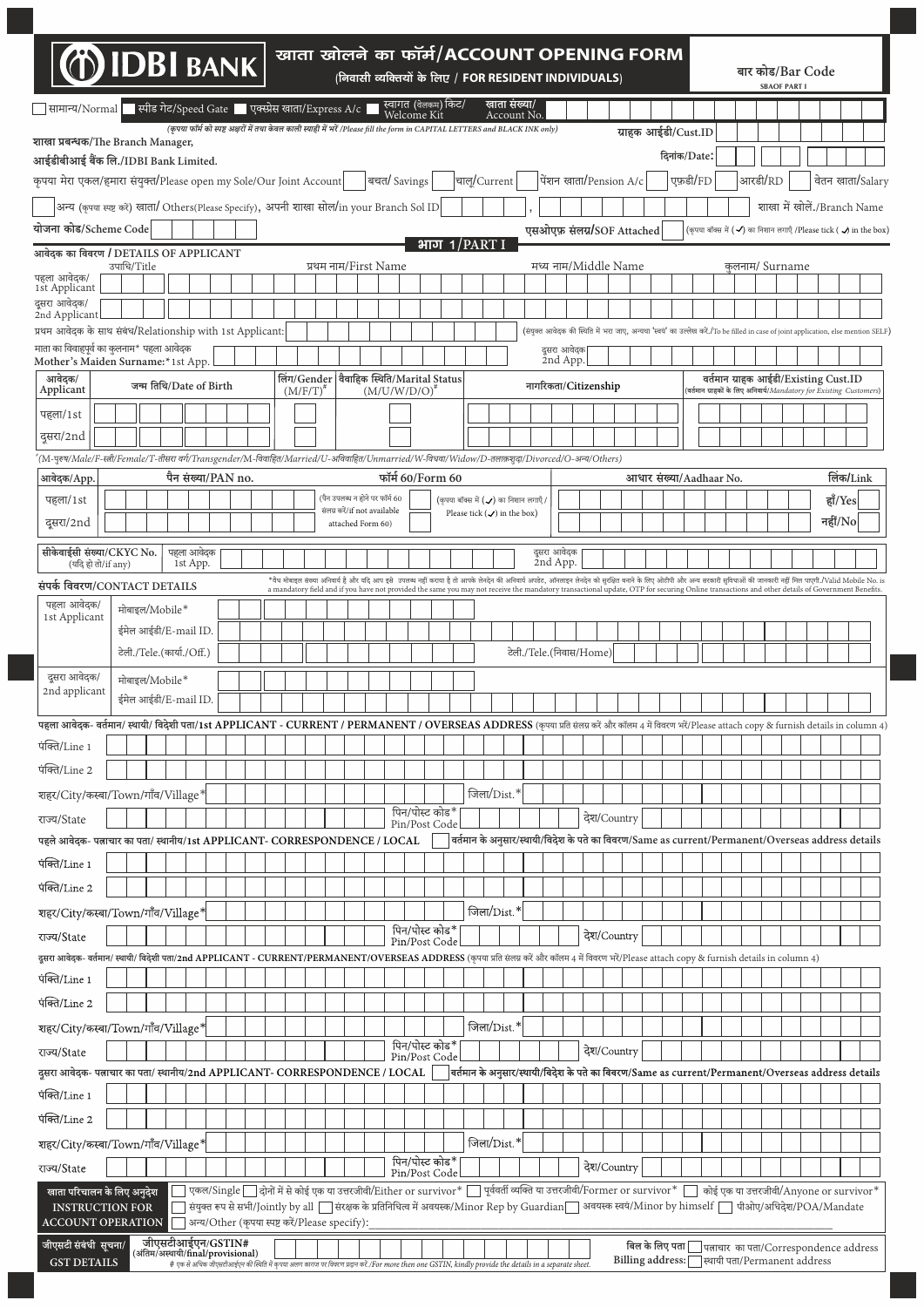| <b>DEL BANK</b>                                                                                                                                                                                    |                           |                        |                                                |  |               |                      |  |                                                   | खाता खोलने का फॉर्म/ACCOUNT OPENING FORM<br>(निवासी व्यक्तियों के लिए / FOR RESIDENT INDIVIDUALS)                                                                                                                                                                                                                                                                                                 |                                                                                                           |             |                            |                         |                         |                            |             |  |                     |          |                                                                                                                                    |  | बार कोड/Bar Code<br><b>SBAOF PART I</b>          |  |                      |  |
|----------------------------------------------------------------------------------------------------------------------------------------------------------------------------------------------------|---------------------------|------------------------|------------------------------------------------|--|---------------|----------------------|--|---------------------------------------------------|---------------------------------------------------------------------------------------------------------------------------------------------------------------------------------------------------------------------------------------------------------------------------------------------------------------------------------------------------------------------------------------------------|-----------------------------------------------------------------------------------------------------------|-------------|----------------------------|-------------------------|-------------------------|----------------------------|-------------|--|---------------------|----------|------------------------------------------------------------------------------------------------------------------------------------|--|--------------------------------------------------|--|----------------------|--|
| सामान्य/Normal स्पीड गेट/Speed Gate पुक्स्प्रेस खाता/Express A/c                                                                                                                                   |                           |                        |                                                |  |               |                      |  |                                                   | स्वागत (वेलकम) किट/<br>Welcome Kit                                                                                                                                                                                                                                                                                                                                                                |                                                                                                           |             | खाता संख्या/<br>Account No |                         |                         |                            |             |  |                     |          |                                                                                                                                    |  |                                                  |  |                      |  |
| शाखा प्रबन्धक/The Branch Manager,                                                                                                                                                                  |                           |                        |                                                |  |               |                      |  |                                                   | (कृपया फॉर्म को स्पष्ट अक्षरों में तथा केवल काली स्याही में भरें /Please fill the form in CAPITAL LETTERS and BLACK INK only)                                                                                                                                                                                                                                                                     |                                                                                                           |             |                            |                         |                         |                            |             |  | ग्राहक आईडी/Cust.ID |          |                                                                                                                                    |  |                                                  |  |                      |  |
| आईडीबीआई बैंक लि./IDBI Bank Limited.                                                                                                                                                               |                           |                        |                                                |  |               |                      |  |                                                   |                                                                                                                                                                                                                                                                                                                                                                                                   |                                                                                                           |             |                            |                         |                         |                            |             |  | दिनांक/Date:        |          |                                                                                                                                    |  |                                                  |  |                      |  |
| कृपया मेरा एकल/हमारा संयुक्त/Please open my Sole/Our Joint Account                                                                                                                                 |                           |                        |                                                |  |               |                      |  |                                                   | बचत/ Savings                                                                                                                                                                                                                                                                                                                                                                                      | चालू/Current                                                                                              |             |                            |                         |                         | पेंशन खाता/Pension A/c     |             |  |                     | एफ़डी/FD |                                                                                                                                    |  | आरडी/RD                                          |  | वेतन खाता/Salary     |  |
| अन्य (कृपया स्पष्ट करें) खाता/ Others(Please Specify), अपनी शाखा सोल/in your Branch Sol ID                                                                                                         |                           |                        |                                                |  |               |                      |  |                                                   |                                                                                                                                                                                                                                                                                                                                                                                                   |                                                                                                           |             |                            |                         |                         |                            |             |  |                     |          |                                                                                                                                    |  | शाखा में खोलें./Branch Name                      |  |                      |  |
| योजना कोड/Scheme Code                                                                                                                                                                              |                           |                        |                                                |  |               |                      |  |                                                   |                                                                                                                                                                                                                                                                                                                                                                                                   |                                                                                                           |             |                            |                         |                         | एसओएफ़ संलग्न/SOF Attached |             |  |                     |          | (कृपया बॉक्स में ( $\checkmark$ ) का निशान लगाएँ /Please tick ( $\checkmark$ ) in the box)                                         |  |                                                  |  |                      |  |
| आवेदक का विवरण / DETAILS OF APPLICANT                                                                                                                                                              |                           |                        |                                                |  |               |                      |  |                                                   |                                                                                                                                                                                                                                                                                                                                                                                                   | भाग $1$ /PART I                                                                                           |             |                            |                         |                         |                            |             |  |                     |          |                                                                                                                                    |  |                                                  |  |                      |  |
| पहला आवेदक/                                                                                                                                                                                        | उपाधि/Title               |                        |                                                |  |               | प्रथम नाम/First Name |  |                                                   |                                                                                                                                                                                                                                                                                                                                                                                                   |                                                                                                           |             |                            |                         |                         | मध्य नाम/Middle Name       |             |  |                     |          |                                                                                                                                    |  | कलनाम/ Surname                                   |  |                      |  |
| 1st Applicant<br>दूसरा आवेदक/                                                                                                                                                                      |                           |                        |                                                |  |               |                      |  |                                                   |                                                                                                                                                                                                                                                                                                                                                                                                   |                                                                                                           |             |                            |                         |                         |                            |             |  |                     |          |                                                                                                                                    |  |                                                  |  |                      |  |
| 2nd Applicant<br>प्रथम आवेदक के साथ संबंध/Relationship with 1st Applicant:                                                                                                                         |                           |                        |                                                |  |               |                      |  |                                                   |                                                                                                                                                                                                                                                                                                                                                                                                   |                                                                                                           |             |                            |                         |                         |                            |             |  |                     |          | (संयुक्त आवेदक की स्थिति में भरा जाए, अन्यथा 'स्वयं' का उल्लेख करें./To be filled in case of joint application, else mention SELF) |  |                                                  |  |                      |  |
| माता का विवाहपर्व का कलनाम* पहला आवेदक                                                                                                                                                             |                           |                        |                                                |  |               |                      |  |                                                   |                                                                                                                                                                                                                                                                                                                                                                                                   |                                                                                                           |             |                            |                         |                         | दुसरा आवेदक                |             |  |                     |          |                                                                                                                                    |  |                                                  |  |                      |  |
| Mother's Maiden Surname:*1st App.<br>आवेदक/                                                                                                                                                        |                           |                        |                                                |  |               |                      |  |                                                   | लिंग/Gender   वैवाहिक स्थिति/Marital Status                                                                                                                                                                                                                                                                                                                                                       |                                                                                                           |             |                            |                         |                         | 2nd App.                   |             |  |                     |          |                                                                                                                                    |  | वर्तमान ग्राहक आईडी/Existing Cust.ID             |  |                      |  |
| Applicant                                                                                                                                                                                          | जन्म तिथि/Date of Birth   |                        |                                                |  | $(M/F/T)^{n}$ |                      |  |                                                   | (M/U/W/D/O)                                                                                                                                                                                                                                                                                                                                                                                       |                                                                                                           |             |                            |                         |                         | नागरिकता/Citizenship       |             |  |                     |          | वर्तमान ग्राहकों के लिए अनिवार्य/Mandatory for Existing Customers)                                                                 |  |                                                  |  |                      |  |
| पहला/1st                                                                                                                                                                                           |                           |                        |                                                |  |               |                      |  |                                                   |                                                                                                                                                                                                                                                                                                                                                                                                   |                                                                                                           |             |                            |                         |                         |                            |             |  |                     |          |                                                                                                                                    |  |                                                  |  |                      |  |
| दुसरा/2nd                                                                                                                                                                                          |                           |                        |                                                |  |               |                      |  |                                                   |                                                                                                                                                                                                                                                                                                                                                                                                   |                                                                                                           |             |                            |                         |                         |                            |             |  |                     |          |                                                                                                                                    |  |                                                  |  |                      |  |
| "(M-पुरुष/Male/F-स्त्री/Female/T-तीसरा वर्ग/Transgender/M-विवाहित/Married/U-अविवाहित/Unmarried/W-विधवा/Widow/D-तलाकशुवा/Divorced/O-अन्य/Others)                                                    |                           |                        |                                                |  |               |                      |  |                                                   |                                                                                                                                                                                                                                                                                                                                                                                                   |                                                                                                           |             |                            |                         |                         |                            |             |  |                     |          |                                                                                                                                    |  |                                                  |  |                      |  |
| आवेदक/App.                                                                                                                                                                                         |                           | पैन संख्या/PAN no.     |                                                |  |               |                      |  | (पैन उपलब्ध न होने पर फॉर्म 60                    | फॉर्म 60/Form 60                                                                                                                                                                                                                                                                                                                                                                                  | (कृपया बॉक्स में (✔) का निशान लगाएँ।                                                                      |             |                            |                         |                         |                            |             |  |                     |          | आधार संख्या/Aadhaar No.                                                                                                            |  |                                                  |  | लिंक/Link<br>हाँ/Yes |  |
| पहला/1st<br>दूसरा/2nd                                                                                                                                                                              |                           |                        |                                                |  |               |                      |  | संलग्न करें/if not available<br>attached Form 60) |                                                                                                                                                                                                                                                                                                                                                                                                   | Please tick $(\checkmark)$ in the box)                                                                    |             |                            |                         |                         |                            |             |  |                     |          |                                                                                                                                    |  |                                                  |  | नहीं/ $No$           |  |
|                                                                                                                                                                                                    |                           |                        |                                                |  |               |                      |  |                                                   |                                                                                                                                                                                                                                                                                                                                                                                                   |                                                                                                           |             |                            |                         |                         |                            |             |  |                     |          |                                                                                                                                    |  |                                                  |  |                      |  |
| सीकेवाईसी संख्या/CKYC No.<br>(यदि हो तो/if any)                                                                                                                                                    |                           | पहला आवेदक<br>1st App. |                                                |  |               |                      |  |                                                   |                                                                                                                                                                                                                                                                                                                                                                                                   |                                                                                                           |             |                            |                         | दुसरा आवेदक<br>2nd App. |                            |             |  |                     |          |                                                                                                                                    |  |                                                  |  |                      |  |
| संपर्क विवरण/CONTACT DETAILS                                                                                                                                                                       |                           |                        |                                                |  |               |                      |  |                                                   | *वैध मोबाइल संख्या अनिवार्य है और यदि आप इसे  उपलब्ध नहीं कराया है तो आपके लेनदेन की आपके आरक्षत बनाने आपका को लिए ओटीपी और अन्य सरकारी सुविधाओं की जानकारी नहीं मिल पाएगी./Valid Mobile No. is<br>a mandatory field and if you have not provided the same you may not receive the mandatory transactional update, OTP for securing Online transactions and other details of Government Benefits. |                                                                                                           |             |                            |                         |                         |                            |             |  |                     |          |                                                                                                                                    |  |                                                  |  |                      |  |
| पहला आवेदक/<br>1st Applicant                                                                                                                                                                       | मोबाइल/Mobile*            |                        |                                                |  |               |                      |  |                                                   |                                                                                                                                                                                                                                                                                                                                                                                                   |                                                                                                           |             |                            |                         |                         |                            |             |  |                     |          |                                                                                                                                    |  |                                                  |  |                      |  |
|                                                                                                                                                                                                    | ईमेल आईडी/E-mail ID.      |                        |                                                |  |               |                      |  |                                                   |                                                                                                                                                                                                                                                                                                                                                                                                   |                                                                                                           |             |                            |                         |                         |                            |             |  |                     |          |                                                                                                                                    |  |                                                  |  |                      |  |
|                                                                                                                                                                                                    | टेली./Tele.(कार्या./Off.) |                        |                                                |  |               |                      |  |                                                   |                                                                                                                                                                                                                                                                                                                                                                                                   |                                                                                                           |             |                            | टेली./Tele.(निवास/Home) |                         |                            |             |  |                     |          |                                                                                                                                    |  |                                                  |  |                      |  |
| दुसरा आवेदक/                                                                                                                                                                                       | मोबाइल/Mobile*            |                        |                                                |  |               |                      |  |                                                   |                                                                                                                                                                                                                                                                                                                                                                                                   |                                                                                                           |             |                            |                         |                         |                            |             |  |                     |          |                                                                                                                                    |  |                                                  |  |                      |  |
| 2nd applicant                                                                                                                                                                                      | ईमेल आईडी/E-mail ID.      |                        |                                                |  |               |                      |  |                                                   |                                                                                                                                                                                                                                                                                                                                                                                                   |                                                                                                           |             |                            |                         |                         |                            |             |  |                     |          |                                                                                                                                    |  |                                                  |  |                      |  |
| पहला आवेदक- वर्तमान/ स्थायी/ विदेशी पता/1st APPLICANT - CURRENT / PERMANENT / OVERSEAS ADDRESS (कृपया प्रति संलग्न करें और कॉलम 4 में विवरण भरें/Please attach copy & furnish details in column 4) |                           |                        |                                                |  |               |                      |  |                                                   |                                                                                                                                                                                                                                                                                                                                                                                                   |                                                                                                           |             |                            |                         |                         |                            |             |  |                     |          |                                                                                                                                    |  |                                                  |  |                      |  |
| पंक्ति/Line 1                                                                                                                                                                                      |                           |                        |                                                |  |               |                      |  |                                                   |                                                                                                                                                                                                                                                                                                                                                                                                   |                                                                                                           |             |                            |                         |                         |                            |             |  |                     |          |                                                                                                                                    |  |                                                  |  |                      |  |
| पंक्ति/Line 2                                                                                                                                                                                      |                           |                        |                                                |  |               |                      |  |                                                   |                                                                                                                                                                                                                                                                                                                                                                                                   |                                                                                                           |             |                            |                         |                         |                            |             |  |                     |          |                                                                                                                                    |  |                                                  |  |                      |  |
| शहर/City/कस्बा/Town/गाँव/Village*                                                                                                                                                                  |                           |                        |                                                |  |               |                      |  |                                                   |                                                                                                                                                                                                                                                                                                                                                                                                   |                                                                                                           | जिला/Dist.* |                            |                         |                         |                            |             |  |                     |          |                                                                                                                                    |  |                                                  |  |                      |  |
| राज्य/State                                                                                                                                                                                        |                           |                        |                                                |  |               |                      |  |                                                   | पिन/पोस्ट कोड*<br>Pin/Post Code                                                                                                                                                                                                                                                                                                                                                                   |                                                                                                           |             |                            |                         |                         |                            | देश/Country |  |                     |          |                                                                                                                                    |  |                                                  |  |                      |  |
| पहले आवेदक- पत्नाचार का पता/ स्थानीय/1st APPLICANT- CORRESPONDENCE / LOCAL                                                                                                                         |                           |                        |                                                |  |               |                      |  |                                                   |                                                                                                                                                                                                                                                                                                                                                                                                   | $\big]$ वर्तमान के अनुसार/स्थायी/विदेश के पते का विवरण/Same as current/Permanent/Overseas address details |             |                            |                         |                         |                            |             |  |                     |          |                                                                                                                                    |  |                                                  |  |                      |  |
| पंक्ति/Line 1                                                                                                                                                                                      |                           |                        |                                                |  |               |                      |  |                                                   |                                                                                                                                                                                                                                                                                                                                                                                                   |                                                                                                           |             |                            |                         |                         |                            |             |  |                     |          |                                                                                                                                    |  |                                                  |  |                      |  |
| पंक्ति/Line 2                                                                                                                                                                                      |                           |                        |                                                |  |               |                      |  |                                                   |                                                                                                                                                                                                                                                                                                                                                                                                   |                                                                                                           |             |                            |                         |                         |                            |             |  |                     |          |                                                                                                                                    |  |                                                  |  |                      |  |
| शहर/City/कस्बा/Town/गाँव/Village*                                                                                                                                                                  |                           |                        |                                                |  |               |                      |  |                                                   |                                                                                                                                                                                                                                                                                                                                                                                                   |                                                                                                           | जिला/Dist.* |                            |                         |                         |                            |             |  |                     |          |                                                                                                                                    |  |                                                  |  |                      |  |
| राज्य/State                                                                                                                                                                                        |                           |                        |                                                |  |               |                      |  |                                                   | पिन/पोस्ट कोड*<br>Pin/Post Code                                                                                                                                                                                                                                                                                                                                                                   |                                                                                                           |             |                            |                         |                         |                            | देश/Country |  |                     |          |                                                                                                                                    |  |                                                  |  |                      |  |
| दुसरा आवेदक- वर्तमान/स्थायी/ विदेशी पता/2nd APPLICANT - CURRENT/PERMANENT/OVERSEAS ADDRESS (कृपया प्रति संलग्न करें और कॉलम 4 में विवरण भरें/Please attach copy & furnish details in column 4)     |                           |                        |                                                |  |               |                      |  |                                                   |                                                                                                                                                                                                                                                                                                                                                                                                   |                                                                                                           |             |                            |                         |                         |                            |             |  |                     |          |                                                                                                                                    |  |                                                  |  |                      |  |
| पंक्ति/Line 1                                                                                                                                                                                      |                           |                        |                                                |  |               |                      |  |                                                   |                                                                                                                                                                                                                                                                                                                                                                                                   |                                                                                                           |             |                            |                         |                         |                            |             |  |                     |          |                                                                                                                                    |  |                                                  |  |                      |  |
| पंक्ति/Line 2                                                                                                                                                                                      |                           |                        |                                                |  |               |                      |  |                                                   |                                                                                                                                                                                                                                                                                                                                                                                                   |                                                                                                           |             |                            |                         |                         |                            |             |  |                     |          |                                                                                                                                    |  |                                                  |  |                      |  |
| शहर/City/कस्बा/Town/गाँव/Village*                                                                                                                                                                  |                           |                        |                                                |  |               |                      |  |                                                   | पिन/पोस्ट कोड*                                                                                                                                                                                                                                                                                                                                                                                    |                                                                                                           | जिला/Dist.* |                            |                         |                         |                            |             |  |                     |          |                                                                                                                                    |  |                                                  |  |                      |  |
| राज्य/State                                                                                                                                                                                        |                           |                        |                                                |  |               |                      |  |                                                   | Pin/Post Code                                                                                                                                                                                                                                                                                                                                                                                     |                                                                                                           |             |                            |                         |                         |                            | देश/Country |  |                     |          |                                                                                                                                    |  |                                                  |  |                      |  |
| दूसरा आवेदक- पत्नाचार का पता/ स्थानीय/2nd APPLICANT- CORRESPONDENCE / LOCAL                                                                                                                        |                           |                        |                                                |  |               |                      |  |                                                   |                                                                                                                                                                                                                                                                                                                                                                                                   | वर्तमान के अनुसार/स्थायी/विदेश के पते का विवरण/Same as current/Permanent/Overseas address details         |             |                            |                         |                         |                            |             |  |                     |          |                                                                                                                                    |  |                                                  |  |                      |  |
| पंक्ति/Line 1                                                                                                                                                                                      |                           |                        |                                                |  |               |                      |  |                                                   |                                                                                                                                                                                                                                                                                                                                                                                                   |                                                                                                           |             |                            |                         |                         |                            |             |  |                     |          |                                                                                                                                    |  |                                                  |  |                      |  |
| पंक्ति/Line 2                                                                                                                                                                                      |                           |                        |                                                |  |               |                      |  |                                                   |                                                                                                                                                                                                                                                                                                                                                                                                   |                                                                                                           |             |                            |                         |                         |                            |             |  |                     |          |                                                                                                                                    |  |                                                  |  |                      |  |
| शहर/City/कस्बा/Town/गाँव/Village*                                                                                                                                                                  |                           |                        |                                                |  |               |                      |  |                                                   | पिन/पोस्ट कोड*                                                                                                                                                                                                                                                                                                                                                                                    |                                                                                                           | जिला/Dist.* |                            |                         |                         |                            |             |  |                     |          |                                                                                                                                    |  |                                                  |  |                      |  |
| राज्य/State                                                                                                                                                                                        |                           |                        |                                                |  |               |                      |  |                                                   | Pin/Post Code                                                                                                                                                                                                                                                                                                                                                                                     |                                                                                                           |             |                            |                         |                         |                            | देश/Country |  |                     |          |                                                                                                                                    |  |                                                  |  |                      |  |
| खाता परिचालन के लिए अनुदेश<br><b>INSTRUCTION FOR</b>                                                                                                                                               | <b>ACCOUNT OPERATION</b>  |                        | अन्य/Other (कृपया स्पष्ट करें/Please specify): |  |               |                      |  |                                                   | एकल/Single $\Box$ दोनों में से कोई एक या उत्तरजीवी/Either or survivor $^*$ $\Box$ पूर्ववर्ती व्यक्ति या उत्तरजीवी/Former or survivor $^*$ $\Box$<br>संयुक्त रूप से सभी/Jointly by all [ ] संरक्षक के प्रतिनिधित्व में अवयस्क/Minor Rep by Guardian [ ] अवयस्क स्वयं/Minor by himself [ ] पीओए/अधिदेश/POA/Mandate                                                                                  |                                                                                                           |             |                            |                         |                         |                            |             |  |                     |          |                                                                                                                                    |  | कोई एक या उत्तरजीवी/Anyone or survivor $^{\ast}$ |  |                      |  |
|                                                                                                                                                                                                    |                           |                        |                                                |  |               |                      |  |                                                   |                                                                                                                                                                                                                                                                                                                                                                                                   |                                                                                                           |             |                            |                         |                         |                            |             |  |                     |          |                                                                                                                                    |  |                                                  |  |                      |  |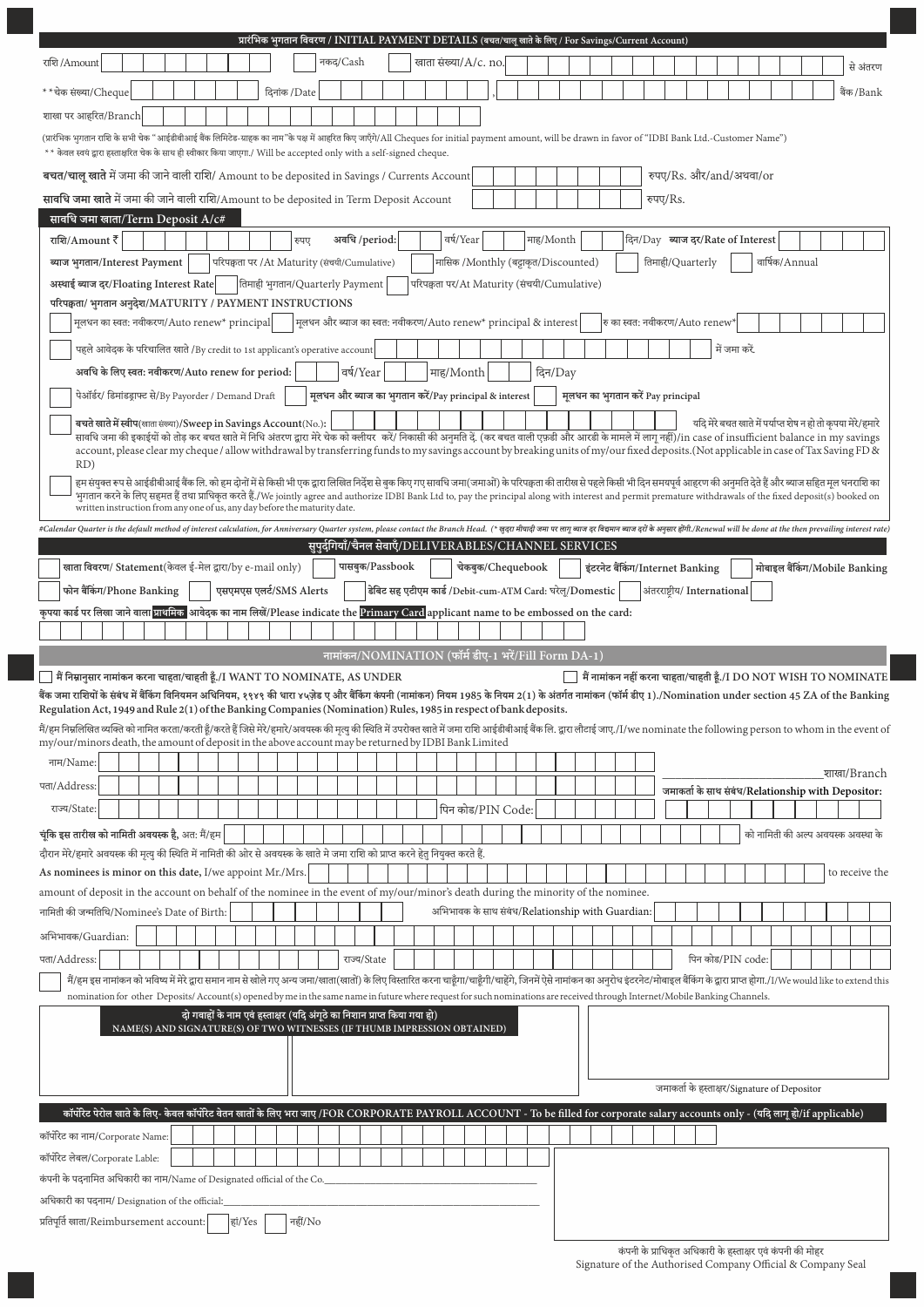|                                                                                                                                                                                                                                                                                                                                                                                                                                               |              |                                                                 |                 |  | प्रारंभिक भुगतान विवरण / INITIAL PAYMENT DETAILS (बचत/चालू खाते के लिए / For Savings/Current Account) |                                                          |           |                                    |                                  |                                |          |                                   |               |                |                                              |                                                                         |
|-----------------------------------------------------------------------------------------------------------------------------------------------------------------------------------------------------------------------------------------------------------------------------------------------------------------------------------------------------------------------------------------------------------------------------------------------|--------------|-----------------------------------------------------------------|-----------------|--|-------------------------------------------------------------------------------------------------------|----------------------------------------------------------|-----------|------------------------------------|----------------------------------|--------------------------------|----------|-----------------------------------|---------------|----------------|----------------------------------------------|-------------------------------------------------------------------------|
| राशि /Amount                                                                                                                                                                                                                                                                                                                                                                                                                                  |              | नकद/Cash                                                        |                 |  | खाता संख्या/A/c. no.                                                                                  |                                                          |           |                                    |                                  |                                |          |                                   |               |                |                                              | से अंतरण                                                                |
| * * चेक संख्या/Cheque                                                                                                                                                                                                                                                                                                                                                                                                                         | दिनांक /Date |                                                                 |                 |  |                                                                                                       |                                                          |           |                                    |                                  |                                |          |                                   |               |                |                                              | बैंक/Bank                                                               |
| शाखा पर आहरित/Branch                                                                                                                                                                                                                                                                                                                                                                                                                          |              |                                                                 |                 |  |                                                                                                       |                                                          |           |                                    |                                  |                                |          |                                   |               |                |                                              |                                                                         |
| (प्रारंभिक भुगतान राशि के सभी चेक "आईडीबीआई बैंक लिमिटेड-ग्राहक का नाम"के पक्ष में आहरित किए जाएँगे/All Cheques for initial payment amount, will be drawn in favor of "IDBI Bank Ltd.-Customer Name")<br>** केवल स्वयं द्वारा हस्ताक्षरित चेक के साथ ही स्वीकार किया जाएगा./ Will be accepted only with a self-signed cheque.                                                                                                                 |              |                                                                 |                 |  |                                                                                                       |                                                          |           |                                    |                                  |                                |          |                                   |               |                |                                              |                                                                         |
| बचत/चालू खाते में जमा की जाने वाली राशि/ Amount to be deposited in Savings / Currents Account                                                                                                                                                                                                                                                                                                                                                 |              |                                                                 |                 |  |                                                                                                       |                                                          |           |                                    |                                  |                                |          | रुपए/Rs. और/and/अथवा/or           |               |                |                                              |                                                                         |
| सावधि जमा खाते में जमा की जाने वाली राशि/Amount to be deposited in Term Deposit Account                                                                                                                                                                                                                                                                                                                                                       |              |                                                                 |                 |  |                                                                                                       |                                                          |           |                                    |                                  |                                | रुपए/Rs. |                                   |               |                |                                              |                                                                         |
| सावधि जमा खाता/Term Deposit A/c#                                                                                                                                                                                                                                                                                                                                                                                                              |              |                                                                 |                 |  |                                                                                                       |                                                          |           |                                    |                                  |                                |          |                                   |               |                |                                              |                                                                         |
| राशि/Amount $\overline{\overline{\epsilon}}$                                                                                                                                                                                                                                                                                                                                                                                                  | रुपए         | अवधि /period:                                                   |                 |  | वर्ष/Year                                                                                             |                                                          | माह/Month |                                    |                                  |                                |          | दिन/Day ब्याज दर/Rate of Interest |               |                |                                              |                                                                         |
| ब्याज भुगतान/Interest Payment<br>परिपक्वता पर /At Maturity (संचयी/Cumulative)                                                                                                                                                                                                                                                                                                                                                                 |              |                                                                 |                 |  |                                                                                                       | मासिक /Monthly (बट्टाकृत/Discounted)                     |           |                                    |                                  |                                |          | तिमाही/Quarterly                  |               | वार्षिक/Annual |                                              |                                                                         |
| अस्थाई ब्याज दर/Floating Interest Rate   तिमाही भुगतान/Quarterly Payment                                                                                                                                                                                                                                                                                                                                                                      |              |                                                                 |                 |  |                                                                                                       | परिपक्वता पर/At Maturity (संचयी/Cumulative)              |           |                                    |                                  |                                |          |                                   |               |                |                                              |                                                                         |
| परिपक्वता/ भुगतान अनुदेश/MATURITY / PAYMENT INSTRUCTIONS                                                                                                                                                                                                                                                                                                                                                                                      |              |                                                                 |                 |  |                                                                                                       |                                                          |           |                                    |                                  |                                |          |                                   |               |                |                                              |                                                                         |
| मूलधन का स्वत: नवीकरण/Auto renew* principal                                                                                                                                                                                                                                                                                                                                                                                                   |              | मूलधन और ब्याज का स्वत: नवीकरण/Auto renew* principal & interest |                 |  |                                                                                                       |                                                          |           |                                    |                                  | रु का स्वत: नवीकरण/Auto renew* |          |                                   |               |                |                                              |                                                                         |
| पहले आवेदक के परिचालित खाते /By credit to 1st applicant's operative account                                                                                                                                                                                                                                                                                                                                                                   |              |                                                                 |                 |  |                                                                                                       |                                                          |           |                                    |                                  |                                |          |                                   | में जमा करें. |                |                                              |                                                                         |
| अवधि के लिए स्वत: नवीकरण/Auto renew for period:                                                                                                                                                                                                                                                                                                                                                                                               |              | वर्ष/Year                                                       |                 |  | माह/Month                                                                                             |                                                          | दिन/Day   |                                    |                                  |                                |          |                                   |               |                |                                              |                                                                         |
| पेऑर्डर/ डिमांडड्राफ्ट से/By Payorder / Demand Draft                                                                                                                                                                                                                                                                                                                                                                                          |              | मूलधन और ब्याज का भुगतान करें/Pay principal & interest          |                 |  |                                                                                                       |                                                          |           | मूलधन का भुगतान करें Pay principal |                                  |                                |          |                                   |               |                |                                              |                                                                         |
| बचते खाते में स्वीप(खाता संख्या)/Sweep in Savings Account(No.):                                                                                                                                                                                                                                                                                                                                                                               |              |                                                                 |                 |  |                                                                                                       |                                                          |           |                                    |                                  |                                |          |                                   |               |                |                                              | यदि मेरे बचत खाते में पर्याप्त शेष न हो तो कृपया मेरे/हमारे             |
| सावधि जमा की इकाईयों को तोड़ कर बचत खाते में निधि अंतरण द्वारा मेरे चेक को क्लीयर करें/ निकासी की अनुमति दें. (कर बचत वाली एफडी और आरडी के मामले में लागू नहीं)/in case of insufficient balance in my savings<br>account, please clear my cheque / allow withdrawal by transferring funds to my savings account by breaking units of my/our fixed deposits. (Not applicable in case of Tax Saving FD &                                        |              |                                                                 |                 |  |                                                                                                       |                                                          |           |                                    |                                  |                                |          |                                   |               |                |                                              |                                                                         |
| RD)                                                                                                                                                                                                                                                                                                                                                                                                                                           |              |                                                                 |                 |  |                                                                                                       |                                                          |           |                                    |                                  |                                |          |                                   |               |                |                                              |                                                                         |
| हम संयुक्त रूप से आईडीबीआई बैंक लि. को हम दोनों में से किसी भी एक द्वारा लिखित निर्देश से बुक किए गए सावधि जमा(जमाओं) के परिपक्वता की तारीख से पहले किसी भी दिन समयपूर्व आहरण की अनुमति देते हैं और ब्याज सहित मूल धनराशि का<br>भुगतान करने के लिए सहमत हैं तथा प्राधिकृत करते हैं./We jointly agree and authorize IDBI Bank Ltd to, pay the principal along with interest and permit premature withdrawals of the fixed deposit(s) booked on |              |                                                                 |                 |  |                                                                                                       |                                                          |           |                                    |                                  |                                |          |                                   |               |                |                                              |                                                                         |
| written instruction from any one of us, any day before the maturity date.                                                                                                                                                                                                                                                                                                                                                                     |              |                                                                 |                 |  |                                                                                                       |                                                          |           |                                    |                                  |                                |          |                                   |               |                |                                              |                                                                         |
| #Calendar Quarter is the default method of interest calculation, for Anniversary Quarter system, please contact the Branch Head. (* खुदर मीयादी जमा पर लागू ब्याज दर विद्यमान ब्याज दरों के अनुसार होंगी./Renewal will be don                                                                                                                                                                                                                 |              |                                                                 |                 |  |                                                                                                       |                                                          |           |                                    |                                  |                                |          |                                   |               |                |                                              |                                                                         |
|                                                                                                                                                                                                                                                                                                                                                                                                                                               |              | सुपुर्दगियाँ/चैनल सेवाएँ/DELIVERABLES/CHANNEL SERVICES          |                 |  |                                                                                                       |                                                          |           |                                    |                                  |                                |          |                                   |               |                |                                              |                                                                         |
| खाता विवरण/ Statement(केवल ई-मेल द्वारा/by e-mail only)<br>एसएमएस एलर्ट/SMS Alerts                                                                                                                                                                                                                                                                                                                                                            |              |                                                                 | पासबुक/Passbook |  |                                                                                                       | चेकबुक/Chequebook                                        |           |                                    | इंटरनेट बैंकिंग/Internet Banking |                                |          |                                   |               |                |                                              | मोबाइल बैंकिंग/Mobile Banking                                           |
| फोन बैंकिंग/Phone Banking<br>कृपया कार्ड पर लिखा जाने वाला प्राथमिक आवेदक का नाम लिखें/Please indicate the Primary Card applicant name to be embossed on the card:                                                                                                                                                                                                                                                                            |              |                                                                 |                 |  |                                                                                                       | डेबिट सह एटीएम कार्ड /Debit-cum-ATM Card: घरेलू/Domestic |           |                                    |                                  |                                |          | अंतरराष्ट्रीय/ International      |               |                |                                              |                                                                         |
|                                                                                                                                                                                                                                                                                                                                                                                                                                               |              |                                                                 |                 |  |                                                                                                       |                                                          |           |                                    |                                  |                                |          |                                   |               |                |                                              |                                                                         |
|                                                                                                                                                                                                                                                                                                                                                                                                                                               |              | नामांकन/NOMINATION (फॉर्म डीए-1 भरें/Fill Form DA-1)            |                 |  |                                                                                                       |                                                          |           |                                    |                                  |                                |          |                                   |               |                |                                              |                                                                         |
| मैं निम्नानुसार नामांकन करना चाहता/चाहती हूँ./I WANT TO NOMINATE, AS UNDER                                                                                                                                                                                                                                                                                                                                                                    |              |                                                                 |                 |  |                                                                                                       |                                                          |           |                                    |                                  |                                |          |                                   |               |                |                                              | $\Box$ मैं नामांकन नहीं करना चाहता/चाहती हूँ./I DO NOT WISH TO NOMINATE |
|                                                                                                                                                                                                                                                                                                                                                                                                                                               |              |                                                                 |                 |  |                                                                                                       |                                                          |           |                                    |                                  |                                |          |                                   |               |                |                                              |                                                                         |
| बैंक जमा राशियों के संबंध में बैंकिंग विनियमन अधिनियम, १९४९ की धार ४५ज़ेड ए और बैंकिंग कंपनी (नामांकन) किया 1985 के नियम 2(1) के अंतर्गत नामांकन (फॉर्म डीए 1)./Nomination under section 45 ZA of the Banking                                                                                                                                                                                                                                 |              |                                                                 |                 |  |                                                                                                       |                                                          |           |                                    |                                  |                                |          |                                   |               |                |                                              |                                                                         |
| Regulation Act, 1949 and Rule 2(1) of the Banking Companies (Nomination) Rules, 1985 in respect of bank deposits.                                                                                                                                                                                                                                                                                                                             |              |                                                                 |                 |  |                                                                                                       |                                                          |           |                                    |                                  |                                |          |                                   |               |                |                                              |                                                                         |
| .<br>मैं/हम निम्नलिखित व्यक्ति को नामित करता/करती हूँ/करते हैं जिसे मेरे/हमारे/अवयस्क की मृत्यु की स्थिति में उपरोक्त खाते में जमा राशि आईडीबीआई बैंक लि. द्वारा लौटाई जाए./I/we nominate the following person to whom in the ev<br>my/our/minors death, the amount of deposit in the above account may be returned by IDBI Bank Limited                                                                                                      |              |                                                                 |                 |  |                                                                                                       |                                                          |           |                                    |                                  |                                |          |                                   |               |                |                                              |                                                                         |
| नाम/Name:                                                                                                                                                                                                                                                                                                                                                                                                                                     |              |                                                                 |                 |  |                                                                                                       |                                                          |           |                                    |                                  |                                |          |                                   |               |                |                                              |                                                                         |
| पता/Address:                                                                                                                                                                                                                                                                                                                                                                                                                                  |              |                                                                 |                 |  |                                                                                                       |                                                          |           |                                    |                                  |                                |          |                                   |               |                |                                              | शाखा/Branch                                                             |
| राज्य/State:                                                                                                                                                                                                                                                                                                                                                                                                                                  |              |                                                                 |                 |  |                                                                                                       | पिन कोड/PIN Code:                                        |           |                                    |                                  |                                |          |                                   |               |                |                                              | जमाकर्ता के साथ संबंध/Relationship with Depositor:                      |
| चूंकि इस तारीख को नामिती अवयस्क है, अत: मैं/हम                                                                                                                                                                                                                                                                                                                                                                                                |              |                                                                 |                 |  |                                                                                                       |                                                          |           |                                    |                                  |                                |          |                                   |               |                |                                              | को नामिती की अल्प अवयस्क अवस्था के                                      |
| .<br>दौरान मेरे/हमारे अवयस्क की मृत्यु की स्थिति में नामिती की ओर से अवयस्क के खाते मे जमा राशि को प्राप्त करने हेत नियुक्त करते हैं.                                                                                                                                                                                                                                                                                                         |              |                                                                 |                 |  |                                                                                                       |                                                          |           |                                    |                                  |                                |          |                                   |               |                |                                              |                                                                         |
| As nominees is minor on this date, I/we appoint Mr./Mrs.                                                                                                                                                                                                                                                                                                                                                                                      |              |                                                                 |                 |  |                                                                                                       |                                                          |           |                                    |                                  |                                |          |                                   |               |                |                                              | to receive the                                                          |
| amount of deposit in the account on behalf of the nominee in the event of my/our/minor's death during the minority of the nominee.                                                                                                                                                                                                                                                                                                            |              |                                                                 |                 |  |                                                                                                       |                                                          |           |                                    |                                  |                                |          |                                   |               |                |                                              |                                                                         |
| नामिती की जन्मतिथि/Nominee's Date of Birth:                                                                                                                                                                                                                                                                                                                                                                                                   |              |                                                                 |                 |  |                                                                                                       | अभिभावक के साथ संबंध/Relationship with Guardian:         |           |                                    |                                  |                                |          |                                   |               |                |                                              |                                                                         |
| अभिभावक/Guardian:                                                                                                                                                                                                                                                                                                                                                                                                                             |              |                                                                 |                 |  |                                                                                                       |                                                          |           |                                    |                                  |                                |          |                                   |               |                |                                              |                                                                         |
| पता/Address:                                                                                                                                                                                                                                                                                                                                                                                                                                  |              | राज्य/State                                                     |                 |  |                                                                                                       |                                                          |           |                                    |                                  |                                |          | पिन कोड/PIN code:                 |               |                |                                              |                                                                         |
| मैं/हम इस नामांकन को भविष्य में मेरे द्वारा समान नाम से खोले गए अन्य जमा/खाता(खातों) के लिए विस्तारित करना चाहूँगा/चाहूँगी/चाहेंगे, जिनमें ऐसे नामांकन का अनुरोध इंटरनेट/मोबाइल बैंकिंग के द्वारा प्राप्त होगा./I/We would li                                                                                                                                                                                                                 |              |                                                                 |                 |  |                                                                                                       |                                                          |           |                                    |                                  |                                |          |                                   |               |                |                                              |                                                                         |
| nomination for other Deposits/Account(s) opened by me in the same name in future where request for such nominations are received through Internet/Mobile Banking Channels.                                                                                                                                                                                                                                                                    |              |                                                                 |                 |  |                                                                                                       |                                                          |           |                                    |                                  |                                |          |                                   |               |                |                                              |                                                                         |
| दो गवाहों के नाम एवं हस्ताक्षर (यदि अंगूठे का निशान प्राप्त किया गया हो)<br>NAME(S) AND SIGNATURE(S) OF TWO WITNESSES (IF THUMB IMPRESSION OBTAINED)                                                                                                                                                                                                                                                                                          |              |                                                                 |                 |  |                                                                                                       |                                                          |           |                                    |                                  |                                |          |                                   |               |                |                                              |                                                                         |
|                                                                                                                                                                                                                                                                                                                                                                                                                                               |              |                                                                 |                 |  |                                                                                                       |                                                          |           |                                    |                                  |                                |          |                                   |               |                |                                              |                                                                         |
|                                                                                                                                                                                                                                                                                                                                                                                                                                               |              |                                                                 |                 |  |                                                                                                       |                                                          |           |                                    |                                  |                                |          |                                   |               |                |                                              |                                                                         |
|                                                                                                                                                                                                                                                                                                                                                                                                                                               |              |                                                                 |                 |  |                                                                                                       |                                                          |           |                                    |                                  |                                |          |                                   |               |                | जमाकर्ता के हस्ताक्षर/Signature of Depositor |                                                                         |
| कॉर्पोरेट पेरोल खाते के लिए- केवल कॉर्पोरेट वेतन खातों के लिए भरा जाए /FOR CORPORATE PAYROLL ACCOUNT - To be filled for corporate salary accounts only - (यदि लागू हो/if applicable)                                                                                                                                                                                                                                                          |              |                                                                 |                 |  |                                                                                                       |                                                          |           |                                    |                                  |                                |          |                                   |               |                |                                              |                                                                         |
| कॉर्पोरेट का नाम/Corporate Name:                                                                                                                                                                                                                                                                                                                                                                                                              |              |                                                                 |                 |  |                                                                                                       |                                                          |           |                                    |                                  |                                |          |                                   |               |                |                                              |                                                                         |
| कॉर्पोरेट लेबल/Corporate Lable:                                                                                                                                                                                                                                                                                                                                                                                                               |              |                                                                 |                 |  |                                                                                                       |                                                          |           |                                    |                                  |                                |          |                                   |               |                |                                              |                                                                         |
| कंपनी के पदनामित अधिकारी का नाम/Name of Designated official of the Co.                                                                                                                                                                                                                                                                                                                                                                        |              |                                                                 |                 |  |                                                                                                       |                                                          |           |                                    |                                  |                                |          |                                   |               |                |                                              |                                                                         |
| अधिकारी का पदनाम/ Designation of the official:<br>प्रतिपूर्ति खाता/Reimbursement account:<br>हां/Yes                                                                                                                                                                                                                                                                                                                                          | नहीं/No      |                                                                 |                 |  |                                                                                                       |                                                          |           |                                    |                                  |                                |          |                                   |               |                |                                              |                                                                         |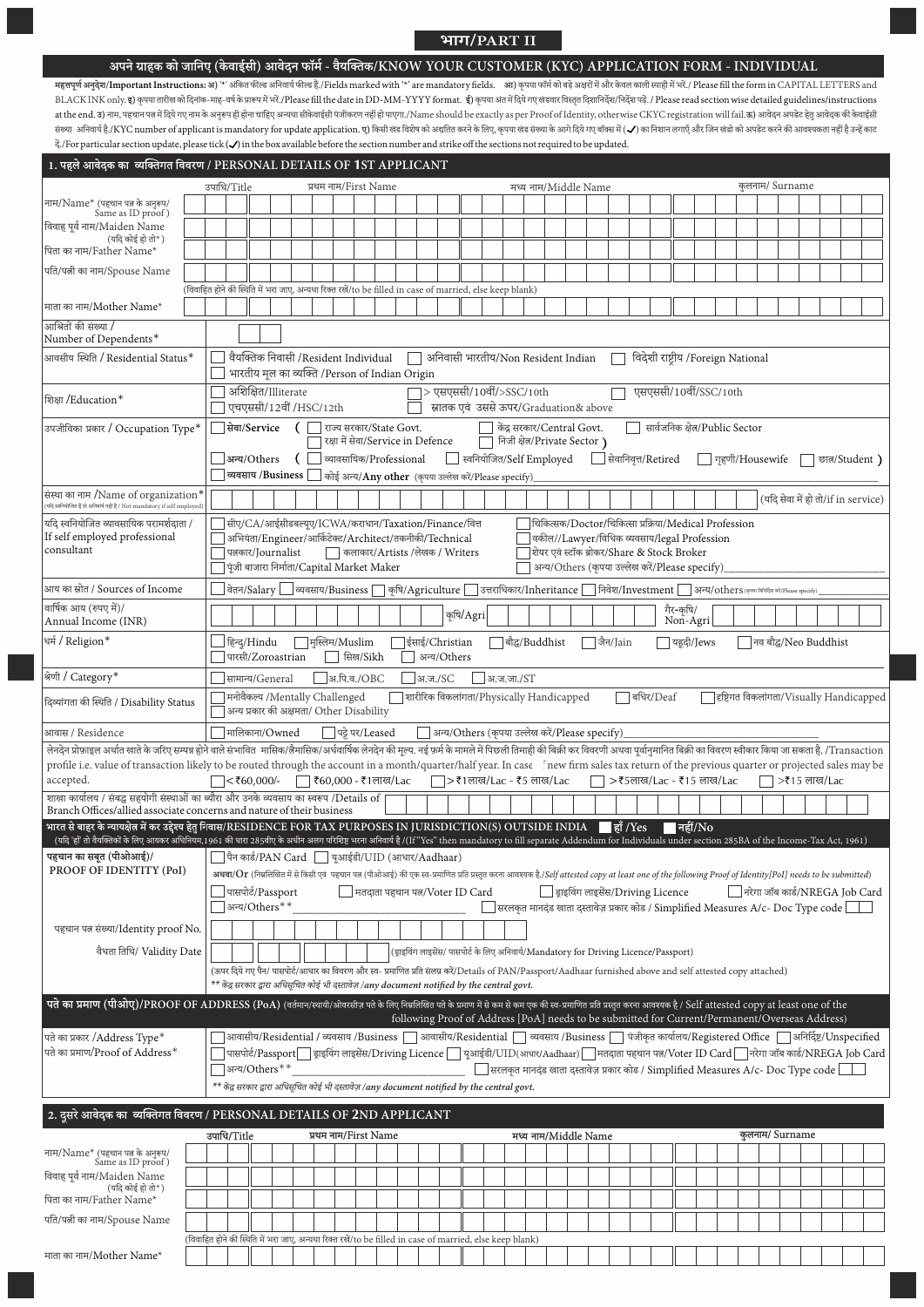## **भाग/PART II**

## अपने ग्राहक को जानिए (केवाईसी) आवेदन फॉर्म - वैयक्तिक/KNOW YOUR CUSTOMER (KYC) APPLICATION FORM - INDIVIDUAL

महत्तपूर्ण अनुदेश/Important Instructions: अ) '\*' अंकित फील्ड आनिवार्य फील कह हैं./Fields marked with '\*' are mandatory fields. an) कृपया फॉम को बड़े अक्षरों में और केवल काली स्याही में भरें./ Please fill the form in CAPIT BLACK INK only. इ) कृपया तारीख को दिनांक-माह-वर्ष के प्रारूप में भरें./Please fill the date in DD-MM-YYYY format. ई) कृपया अंत में दिये गए खंडवार विस्तृत दिशानिर्देश/निर्देश पढ़ें. / Please read section wise detailed guid at the end. 3) नाम, पहचान पत्न में दिये गए नाम के अनुरूप ही होना चाहिए अन्यथा सीकेवाईसी पंजीकरण नहीं हो पाएगा./Name should be exactly as per Proof of Identity, otherwise CKYC registration will fail.क) आवेदन अपडेट हेतु आवे संख्या अनिवार्य है./KYC number of applicant is mandatory for update application. **ए**) किसी खंड विशेष को अततिकरने के लिए, कृपया खंड संख्या के आगे दिये गए बॉक्स में ( - ) का निशान लगाएँ और जिन खंडो को अपडेट करने की आवश्यकता द./For particular section update, please tick ( ) in the box available before the section number and strike off the sections not required to be updated.

| कुलनाम/ Surname<br>उपाधि/Title<br>मध्य नाम/Middle Name<br>प्रथम नाम/First Name<br>नाम/Name* (पहचान पत्न के अनुरूप/<br>Same as ID proof)<br>विवाह पूर्व नाम/Maiden Name<br>(यदि कोई हो तो*)<br>पिता का नाम/Father Name*<br>(विवाहित होने की स्थिति में भरा जाए, अन्यथा रिक्त रखें/to be filled in case of married, else keep blank)<br>माता का नाम/Mother Name*<br>आश्रितों की संख्या /<br>Number of Dependents*<br>वैयक्तिक निवासी /Resident Individual<br>$\Box$ अनिवासी भारतीय/Non Resident Indian<br>विदेशी राष्ट्रीय /Foreign National<br>आवसीय स्थिति / Residential Status*<br>भारतीय मूल का व्यक्ति /Person of Indian Origin<br>अशिक्षित/Illiterate<br>$\Box$ > एसएससी/10वीं/>SSC/10th<br>एसएससी/10वीं/SSC/10th<br>एचएससी/12वीं /HSC/12th<br>स्नातक एवं उससे ऊपर/Graduation& above<br>सेवा/Service<br>(     राज्य सरकार/State Govt.<br>केंद्र सरकार/Central Govt.<br>सार्वजनिक क्षेत्र/Public Sector<br>उपजीविका प्रकार / Occupation Type*<br>निजी क्षेत्र/Private Sector)<br>रक्षा में सेवा/Service in Defence<br>$\Box$ स्वनियोजित/Self Employed<br>व्यावसायिक/Professional<br>त्रिवानिवृत्त/Retired<br>अन्य/Others<br>गृहणी/Housewife<br>(<br>छात/Student)<br>$\Box$ व्यवसाय /Business $\Box$ कोई अन्य/Any other (कृपया उल्लेख करें/Please specify)<br>संस्था का नाम /Name of organization*<br>(यदि सेवा में हो तो/if in service)<br>.<br>(यदि स्वनियोजित हैं तो अनिवार्य नहीं है / Not mandatory if self employed)<br>यदि स्वनियोजित व्यावसायिक परामर्शदाता /<br>चिकित्सक/Doctor/चिकित्सा प्रक्रिया/Medical Profession<br>]सीए/CA/आईसीडबल्यूए/ICWA/कराधान/Taxation/Finance/वित्त<br>If self employed professional<br> अभियंता/Engineer/आर्किटेक्ट/Architect/तकनीकी/Technical<br>वकील//Lawyer/विधिक व्यवसाय/legal Profession<br>consultant<br>शेयर एवं स्टॉक ब्रोकर/Share & Stock Broker<br>पत्नकार/Journalist<br>    कलाकार/Artists /लेखक / Writers<br>$\overline{\phantom{x}}$ पूंजी बाजारा निर्माता/Capital Market Maker<br>अन्य/Others (कृपया उल्लेख करें/Please specify)<br>आय का स्रोत / Sources of Income<br>__  वेतन/Salary  __  व्यवसाय/Business   लकृषि/Agriculture   उत्तराधिकार/Inheritance   निवेश/Investment   अन्य/others (कृष्ण विवर्धित करेगस्कार कृष्ट्वां)<br>वार्षिक आय (रुपए में)/<br>गैर-कृषि/<br>Non-Agri<br>कृषि/Agri<br>Annual Income (INR)<br>$\Box$ हिन्द/Hindu<br>$\Box$ मुस्लिम/Muslim<br>∣ईसाई/Christian<br>│ बौद्ध/Buddhist<br>│ जैन/Jain<br>$\Box$ यहूदी/Jews<br>  नव बौद्ध/Neo Buddhist<br>पारसी/Zoroastrian<br>  सिख/Sikh<br>अन्य/Others<br> अ.पि.व./OBC<br> अ.ज./SC<br>सामान्य/General<br> अ.ज.जा./ST<br>मनोवैकल्य /Mentally Challenged<br>$\Box$ बधिर/Deaf<br>शारीरिक विकलांगता/Physically Handicapped<br>हृष्टिगत विकलांगता/Visually Handicapped<br>दिव्यांगता की स्थिति / Disability Status<br>अन्य प्रकार की अक्षमता/ Other Disability<br>णिपट्टे पर/Leased<br>□ अन्य/Others (कृपया उल्लेख करें/Please specify)<br>आवास / Residence<br>   मालिकाना/Owned<br>लेनदेन प्रोफ़ाइल अर्थात खाते के जरिए सम्पन्न होने वाले संभावित  मासिक/लैमासिक/अर्धवार्षिक लेनदेन की मूल्य नई फर्म के मामले में पिछली तिमाही की बिक्री कर विवरणी अथवा पूर्वानुमानित बिक्री का विवरण स्वीकार किया जा सकता है. /<br>profile i.e. value of transaction likely to be routed through the account in a month/quarter/half year. In case fnew firm sales tax return of the previous quarter or projected sales may be<br>accepted.<br>$\Box$ <₹60,000/-<br>ि ₹60,000 - ₹1लाख/Lac<br>$\Box$ > ₹1लाख/Lac - ₹5 लाख/Lac<br>□ > ₹5लाख/Lac - ₹15 लाख/Lac<br>$\Box$ >₹15 लाख/Lac<br>शाखा कार्यालय / संबद्ध सहयोगी संस्थाओं का ब्यौरा और उनके व्यवसाय का स्वरूप /Details of<br>Branch Offices/allied associate concerns and nature of their business<br>भारत से बाहर के न्यायक्षेत्र में कर उद्देश्य हेतु निवास/RESIDENCE FOR TAX PURPOSES IN JURISDICTION(S) OUTSIDE INDIA हैं /Yes<br>$\blacksquare$ नहीं/ $\rm No$<br>(यदि 'हाँ तो वैयक्तिकों के लिए आयकर अधिनियम,1961 की धारा 285वीए के अधीन अलग परिशिष्ट भरना अनिवार्य है (/[f"Yes" then mandatory to fill separate Addendum for Individuals under section 285BA of the Income-Tax Act, 1961)<br><b>पहचान का सबूत (पीओआई)/<math>\Box</math></b> पैन कार्ड/PAN Card $\Box$ यूआईडी/UID (आधार/Aadhaar)<br>PROOF OF IDENTITY (PoI)<br>अथवा/Or (निम्नलिखित में से किसी एवं पहचान पत्न (पीओआई) की एक स्व-प्रमाणित प्रति प्रस्तुत करना आवश्यक है./Self attested copy at least one of the following Proof of Identity[PoI] needs to be submitted)<br>नरेगा जॉब कार्ड/NREGA Job Card<br>□ ड्राइविंग लाइसेंस/Driving Licence<br>पासपोर्ट/Passport<br>मतदाता पहचान पत्न/Voter ID Card<br>$\overline{\phantom{x}}$ अन्य/Others $^{**}$<br>] सरलकृत मानदंड खाता दस्तावेज़ प्रकार कोड / Simplified Measures A/c- Doc Type code $\llbracket$<br>पहचान पत्न संख्या/Identity proof No.<br>वैधता तिथि/ Validity Date<br>(ड्राइविंग लाइसेंस/ पासपोर्ट के लिए अनिवार्य/Mandatory for Driving Licence/Passport)<br>(ऊपर दिये गए पैन/ पासपोर्ट/आधार का विवरण और स्व- प्रमाणित प्रति संलग्न करें/Details of PAN/Passport/Aadhaar furnished above and self attested copy attached)<br>** केंद्र सरकार द्वारा अधिसचित कोई भी दस्तावेज़ /any document notified by the central govt.<br>पते का प्रमाण (पीओए)/PROOF OF ADDRESS (PoA) (वर्तमान/स्थायी/ओवरसीज़ पते के लिए निमलिखित पते के प्रमाण में से कम से कम एक की स्व-प्रमाणित प्रति प्रस्तुत करना आवश्यक है / Self attested copy at least one of the<br>following Proof of Address [PoA] needs to be submitted for Current/Permanent/Overseas Address)<br>]आवासीय/Residential / व्यवसाय /Business $\fbox{ }$ आवासीय/Residential $\fbox{ }$ व्यवसाय /Business $\fbox{ }$ पंजीकृत कार्यालय/Registered Office $\fbox{ }$ अनिर्दिष्ट/Unspecified<br>पते का प्रकार /Address Type*<br>पते का प्रमाण/Proof of Address*<br>पासपोर्ट/Passport   ड्राइविंग लाइसेंस/Driving Licence   यूआईडी/UID(आधार/Aadhaar)   मतदाता पहचान पत/Voter ID Card   नरेगा जॉब कार्ड/NREGA Job Card<br>जन्य/Others**<br>$\Box$ सरलकृत मानदंड खाता दस्तावेज़ प्रकार कोड / Simplified Measures A/c- Doc Type code $\Box$<br>** केंद्र सरकार द्वारा अधिसूचित कोई भी दस्तावेज़ /any document notified by the central govt.<br>2. दूसरे आवेदक का व्यक्तिगत विवरण / PERSONAL DETAILS OF 2ND APPLICANT<br>कुलनाम/ Surname<br>उपाधि/Title<br>प्रथम नाम/First Name<br>मध्य नाम/Middle Name<br>नाम/Name* (पहचान पत्न के अनुरूप/<br>Same as ID proof )<br>विवाह पूर्व नाम/Maiden Name<br>(यदि कोई हो तो*)<br>पिता का नाम/Father Name*<br>पति/पत्नी का नाम/Spouse Name<br>(विवाहित होने की स्थिति में भरा जाए, अन्यथा रिक्त रखें/to be filled in case of married, else keep blank)<br>माता का नाम/Mother Name* | 1. पहले आवेदक का व्यक्तिगत विवरण / PERSONAL DETAILS OF 1ST APPLICANT |  |  |  |  |  |  |  |  |  |  |  |  |  |  |  |  |
|--------------------------------------------------------------------------------------------------------------------------------------------------------------------------------------------------------------------------------------------------------------------------------------------------------------------------------------------------------------------------------------------------------------------------------------------------------------------------------------------------------------------------------------------------------------------------------------------------------------------------------------------------------------------------------------------------------------------------------------------------------------------------------------------------------------------------------------------------------------------------------------------------------------------------------------------------------------------------------------------------------------------------------------------------------------------------------------------------------------------------------------------------------------------------------------------------------------------------------------------------------------------------------------------------------------------------------------------------------------------------------------------------------------------------------------------------------------------------------------------------------------------------------------------------------------------------------------------------------------------------------------------------------------------------------------------------------------------------------------------------------------------------------------------------------------------------------------------------------------------------------------------------------------------------------------------------------------------------------------------------------------------------------------------------------------------------------------------------------------------------------------------------------------------------------------------------------------------------------------------------------------------------------------------------------------------------------------------------------------------------------------------------------------------------------------------------------------------------------------------------------------------------------------------------------------------------------------------------------------------------------------------------------------------------------------------------------------------------------------------------------------------------------------------------------------------------------------------------------------------------------------------------------------------------------------------------------------------------------------------------------------------------------------------------------------------------------------------------------------------------------------------------------------------------------------------------------------------------------------------------------------------------------------------------------------------------------------------------------------------------------------------------------------------------------------------------------------------------------------------------------------------------------------------------------------------------------------------------------------------------------------------------------------------------------------------------------------------------------------------------------------------------------------------------------------------------------------------------------------------------------------------------------------------------------------------------------------------------------------------------------------------------------------------------------------------------------------------------------------------------------------------------------------------------------------------------------------------------------------------------------------------------------------------------------------------------------------------------------------------------------------------------------------------------------------------------------------------------------------------------------------------------------------------------------------------------------------------------------------------------------------------------------------------------------------------------------------------------------------------------------------------------------------------------------------------------------------------------------------------------------------------------------------------------------------------------------------------------------------------------------------------------------------------------------------------------------------------------------------------------------------------------------------------------------------------------------------------------------------------------------------------------------------------------------------------------------------------------------------------------------------------------------------------------------------------------------------------------------------------------------------------------------------------------------------------------------------------------------------------------------------------------------------------------------------------------------------------------------------------------------------------------------------------------------------------------------------------------------------------------------------------------------------------------------------------------------------------------------------------------------------------------------------------------------------------------------------------------------------------------------------------------------------------------------------------------------------------------------------------------------------------------------------------------------------------------------------------------------------------------------------------------------------------------------------------------------------------------------------------------------------------------------------------------------------|----------------------------------------------------------------------|--|--|--|--|--|--|--|--|--|--|--|--|--|--|--|--|
|                                                                                                                                                                                                                                                                                                                                                                                                                                                                                                                                                                                                                                                                                                                                                                                                                                                                                                                                                                                                                                                                                                                                                                                                                                                                                                                                                                                                                                                                                                                                                                                                                                                                                                                                                                                                                                                                                                                                                                                                                                                                                                                                                                                                                                                                                                                                                                                                                                                                                                                                                                                                                                                                                                                                                                                                                                                                                                                                                                                                                                                                                                                                                                                                                                                                                                                                                                                                                                                                                                                                                                                                                                                                                                                                                                                                                                                                                                                                                                                                                                                                                                                                                                                                                                                                                                                                                                                                                                                                                                                                                                                                                                                                                                                                                                                                                                                                                                                                                                                                                                                                                                                                                                                                                                                                                                                                                                                                                                                                                                                                                                                                                                                                                                                                                                                                                                                                                                                                                                                                                                                                                                                                                                                                                                                                                                                                                                                                                                                                                                                                                              |                                                                      |  |  |  |  |  |  |  |  |  |  |  |  |  |  |  |  |
|                                                                                                                                                                                                                                                                                                                                                                                                                                                                                                                                                                                                                                                                                                                                                                                                                                                                                                                                                                                                                                                                                                                                                                                                                                                                                                                                                                                                                                                                                                                                                                                                                                                                                                                                                                                                                                                                                                                                                                                                                                                                                                                                                                                                                                                                                                                                                                                                                                                                                                                                                                                                                                                                                                                                                                                                                                                                                                                                                                                                                                                                                                                                                                                                                                                                                                                                                                                                                                                                                                                                                                                                                                                                                                                                                                                                                                                                                                                                                                                                                                                                                                                                                                                                                                                                                                                                                                                                                                                                                                                                                                                                                                                                                                                                                                                                                                                                                                                                                                                                                                                                                                                                                                                                                                                                                                                                                                                                                                                                                                                                                                                                                                                                                                                                                                                                                                                                                                                                                                                                                                                                                                                                                                                                                                                                                                                                                                                                                                                                                                                                                              |                                                                      |  |  |  |  |  |  |  |  |  |  |  |  |  |  |  |  |
|                                                                                                                                                                                                                                                                                                                                                                                                                                                                                                                                                                                                                                                                                                                                                                                                                                                                                                                                                                                                                                                                                                                                                                                                                                                                                                                                                                                                                                                                                                                                                                                                                                                                                                                                                                                                                                                                                                                                                                                                                                                                                                                                                                                                                                                                                                                                                                                                                                                                                                                                                                                                                                                                                                                                                                                                                                                                                                                                                                                                                                                                                                                                                                                                                                                                                                                                                                                                                                                                                                                                                                                                                                                                                                                                                                                                                                                                                                                                                                                                                                                                                                                                                                                                                                                                                                                                                                                                                                                                                                                                                                                                                                                                                                                                                                                                                                                                                                                                                                                                                                                                                                                                                                                                                                                                                                                                                                                                                                                                                                                                                                                                                                                                                                                                                                                                                                                                                                                                                                                                                                                                                                                                                                                                                                                                                                                                                                                                                                                                                                                                                              |                                                                      |  |  |  |  |  |  |  |  |  |  |  |  |  |  |  |  |
|                                                                                                                                                                                                                                                                                                                                                                                                                                                                                                                                                                                                                                                                                                                                                                                                                                                                                                                                                                                                                                                                                                                                                                                                                                                                                                                                                                                                                                                                                                                                                                                                                                                                                                                                                                                                                                                                                                                                                                                                                                                                                                                                                                                                                                                                                                                                                                                                                                                                                                                                                                                                                                                                                                                                                                                                                                                                                                                                                                                                                                                                                                                                                                                                                                                                                                                                                                                                                                                                                                                                                                                                                                                                                                                                                                                                                                                                                                                                                                                                                                                                                                                                                                                                                                                                                                                                                                                                                                                                                                                                                                                                                                                                                                                                                                                                                                                                                                                                                                                                                                                                                                                                                                                                                                                                                                                                                                                                                                                                                                                                                                                                                                                                                                                                                                                                                                                                                                                                                                                                                                                                                                                                                                                                                                                                                                                                                                                                                                                                                                                                                              |                                                                      |  |  |  |  |  |  |  |  |  |  |  |  |  |  |  |  |
|                                                                                                                                                                                                                                                                                                                                                                                                                                                                                                                                                                                                                                                                                                                                                                                                                                                                                                                                                                                                                                                                                                                                                                                                                                                                                                                                                                                                                                                                                                                                                                                                                                                                                                                                                                                                                                                                                                                                                                                                                                                                                                                                                                                                                                                                                                                                                                                                                                                                                                                                                                                                                                                                                                                                                                                                                                                                                                                                                                                                                                                                                                                                                                                                                                                                                                                                                                                                                                                                                                                                                                                                                                                                                                                                                                                                                                                                                                                                                                                                                                                                                                                                                                                                                                                                                                                                                                                                                                                                                                                                                                                                                                                                                                                                                                                                                                                                                                                                                                                                                                                                                                                                                                                                                                                                                                                                                                                                                                                                                                                                                                                                                                                                                                                                                                                                                                                                                                                                                                                                                                                                                                                                                                                                                                                                                                                                                                                                                                                                                                                                                              | पति/पत्नी का नाम/Spouse Name                                         |  |  |  |  |  |  |  |  |  |  |  |  |  |  |  |  |
|                                                                                                                                                                                                                                                                                                                                                                                                                                                                                                                                                                                                                                                                                                                                                                                                                                                                                                                                                                                                                                                                                                                                                                                                                                                                                                                                                                                                                                                                                                                                                                                                                                                                                                                                                                                                                                                                                                                                                                                                                                                                                                                                                                                                                                                                                                                                                                                                                                                                                                                                                                                                                                                                                                                                                                                                                                                                                                                                                                                                                                                                                                                                                                                                                                                                                                                                                                                                                                                                                                                                                                                                                                                                                                                                                                                                                                                                                                                                                                                                                                                                                                                                                                                                                                                                                                                                                                                                                                                                                                                                                                                                                                                                                                                                                                                                                                                                                                                                                                                                                                                                                                                                                                                                                                                                                                                                                                                                                                                                                                                                                                                                                                                                                                                                                                                                                                                                                                                                                                                                                                                                                                                                                                                                                                                                                                                                                                                                                                                                                                                                                              |                                                                      |  |  |  |  |  |  |  |  |  |  |  |  |  |  |  |  |
|                                                                                                                                                                                                                                                                                                                                                                                                                                                                                                                                                                                                                                                                                                                                                                                                                                                                                                                                                                                                                                                                                                                                                                                                                                                                                                                                                                                                                                                                                                                                                                                                                                                                                                                                                                                                                                                                                                                                                                                                                                                                                                                                                                                                                                                                                                                                                                                                                                                                                                                                                                                                                                                                                                                                                                                                                                                                                                                                                                                                                                                                                                                                                                                                                                                                                                                                                                                                                                                                                                                                                                                                                                                                                                                                                                                                                                                                                                                                                                                                                                                                                                                                                                                                                                                                                                                                                                                                                                                                                                                                                                                                                                                                                                                                                                                                                                                                                                                                                                                                                                                                                                                                                                                                                                                                                                                                                                                                                                                                                                                                                                                                                                                                                                                                                                                                                                                                                                                                                                                                                                                                                                                                                                                                                                                                                                                                                                                                                                                                                                                                                              |                                                                      |  |  |  |  |  |  |  |  |  |  |  |  |  |  |  |  |
|                                                                                                                                                                                                                                                                                                                                                                                                                                                                                                                                                                                                                                                                                                                                                                                                                                                                                                                                                                                                                                                                                                                                                                                                                                                                                                                                                                                                                                                                                                                                                                                                                                                                                                                                                                                                                                                                                                                                                                                                                                                                                                                                                                                                                                                                                                                                                                                                                                                                                                                                                                                                                                                                                                                                                                                                                                                                                                                                                                                                                                                                                                                                                                                                                                                                                                                                                                                                                                                                                                                                                                                                                                                                                                                                                                                                                                                                                                                                                                                                                                                                                                                                                                                                                                                                                                                                                                                                                                                                                                                                                                                                                                                                                                                                                                                                                                                                                                                                                                                                                                                                                                                                                                                                                                                                                                                                                                                                                                                                                                                                                                                                                                                                                                                                                                                                                                                                                                                                                                                                                                                                                                                                                                                                                                                                                                                                                                                                                                                                                                                                                              |                                                                      |  |  |  |  |  |  |  |  |  |  |  |  |  |  |  |  |
|                                                                                                                                                                                                                                                                                                                                                                                                                                                                                                                                                                                                                                                                                                                                                                                                                                                                                                                                                                                                                                                                                                                                                                                                                                                                                                                                                                                                                                                                                                                                                                                                                                                                                                                                                                                                                                                                                                                                                                                                                                                                                                                                                                                                                                                                                                                                                                                                                                                                                                                                                                                                                                                                                                                                                                                                                                                                                                                                                                                                                                                                                                                                                                                                                                                                                                                                                                                                                                                                                                                                                                                                                                                                                                                                                                                                                                                                                                                                                                                                                                                                                                                                                                                                                                                                                                                                                                                                                                                                                                                                                                                                                                                                                                                                                                                                                                                                                                                                                                                                                                                                                                                                                                                                                                                                                                                                                                                                                                                                                                                                                                                                                                                                                                                                                                                                                                                                                                                                                                                                                                                                                                                                                                                                                                                                                                                                                                                                                                                                                                                                                              |                                                                      |  |  |  |  |  |  |  |  |  |  |  |  |  |  |  |  |
|                                                                                                                                                                                                                                                                                                                                                                                                                                                                                                                                                                                                                                                                                                                                                                                                                                                                                                                                                                                                                                                                                                                                                                                                                                                                                                                                                                                                                                                                                                                                                                                                                                                                                                                                                                                                                                                                                                                                                                                                                                                                                                                                                                                                                                                                                                                                                                                                                                                                                                                                                                                                                                                                                                                                                                                                                                                                                                                                                                                                                                                                                                                                                                                                                                                                                                                                                                                                                                                                                                                                                                                                                                                                                                                                                                                                                                                                                                                                                                                                                                                                                                                                                                                                                                                                                                                                                                                                                                                                                                                                                                                                                                                                                                                                                                                                                                                                                                                                                                                                                                                                                                                                                                                                                                                                                                                                                                                                                                                                                                                                                                                                                                                                                                                                                                                                                                                                                                                                                                                                                                                                                                                                                                                                                                                                                                                                                                                                                                                                                                                                                              | शिक्षा /Education*                                                   |  |  |  |  |  |  |  |  |  |  |  |  |  |  |  |  |
|                                                                                                                                                                                                                                                                                                                                                                                                                                                                                                                                                                                                                                                                                                                                                                                                                                                                                                                                                                                                                                                                                                                                                                                                                                                                                                                                                                                                                                                                                                                                                                                                                                                                                                                                                                                                                                                                                                                                                                                                                                                                                                                                                                                                                                                                                                                                                                                                                                                                                                                                                                                                                                                                                                                                                                                                                                                                                                                                                                                                                                                                                                                                                                                                                                                                                                                                                                                                                                                                                                                                                                                                                                                                                                                                                                                                                                                                                                                                                                                                                                                                                                                                                                                                                                                                                                                                                                                                                                                                                                                                                                                                                                                                                                                                                                                                                                                                                                                                                                                                                                                                                                                                                                                                                                                                                                                                                                                                                                                                                                                                                                                                                                                                                                                                                                                                                                                                                                                                                                                                                                                                                                                                                                                                                                                                                                                                                                                                                                                                                                                                                              |                                                                      |  |  |  |  |  |  |  |  |  |  |  |  |  |  |  |  |
|                                                                                                                                                                                                                                                                                                                                                                                                                                                                                                                                                                                                                                                                                                                                                                                                                                                                                                                                                                                                                                                                                                                                                                                                                                                                                                                                                                                                                                                                                                                                                                                                                                                                                                                                                                                                                                                                                                                                                                                                                                                                                                                                                                                                                                                                                                                                                                                                                                                                                                                                                                                                                                                                                                                                                                                                                                                                                                                                                                                                                                                                                                                                                                                                                                                                                                                                                                                                                                                                                                                                                                                                                                                                                                                                                                                                                                                                                                                                                                                                                                                                                                                                                                                                                                                                                                                                                                                                                                                                                                                                                                                                                                                                                                                                                                                                                                                                                                                                                                                                                                                                                                                                                                                                                                                                                                                                                                                                                                                                                                                                                                                                                                                                                                                                                                                                                                                                                                                                                                                                                                                                                                                                                                                                                                                                                                                                                                                                                                                                                                                                                              |                                                                      |  |  |  |  |  |  |  |  |  |  |  |  |  |  |  |  |
|                                                                                                                                                                                                                                                                                                                                                                                                                                                                                                                                                                                                                                                                                                                                                                                                                                                                                                                                                                                                                                                                                                                                                                                                                                                                                                                                                                                                                                                                                                                                                                                                                                                                                                                                                                                                                                                                                                                                                                                                                                                                                                                                                                                                                                                                                                                                                                                                                                                                                                                                                                                                                                                                                                                                                                                                                                                                                                                                                                                                                                                                                                                                                                                                                                                                                                                                                                                                                                                                                                                                                                                                                                                                                                                                                                                                                                                                                                                                                                                                                                                                                                                                                                                                                                                                                                                                                                                                                                                                                                                                                                                                                                                                                                                                                                                                                                                                                                                                                                                                                                                                                                                                                                                                                                                                                                                                                                                                                                                                                                                                                                                                                                                                                                                                                                                                                                                                                                                                                                                                                                                                                                                                                                                                                                                                                                                                                                                                                                                                                                                                                              |                                                                      |  |  |  |  |  |  |  |  |  |  |  |  |  |  |  |  |
|                                                                                                                                                                                                                                                                                                                                                                                                                                                                                                                                                                                                                                                                                                                                                                                                                                                                                                                                                                                                                                                                                                                                                                                                                                                                                                                                                                                                                                                                                                                                                                                                                                                                                                                                                                                                                                                                                                                                                                                                                                                                                                                                                                                                                                                                                                                                                                                                                                                                                                                                                                                                                                                                                                                                                                                                                                                                                                                                                                                                                                                                                                                                                                                                                                                                                                                                                                                                                                                                                                                                                                                                                                                                                                                                                                                                                                                                                                                                                                                                                                                                                                                                                                                                                                                                                                                                                                                                                                                                                                                                                                                                                                                                                                                                                                                                                                                                                                                                                                                                                                                                                                                                                                                                                                                                                                                                                                                                                                                                                                                                                                                                                                                                                                                                                                                                                                                                                                                                                                                                                                                                                                                                                                                                                                                                                                                                                                                                                                                                                                                                                              |                                                                      |  |  |  |  |  |  |  |  |  |  |  |  |  |  |  |  |
|                                                                                                                                                                                                                                                                                                                                                                                                                                                                                                                                                                                                                                                                                                                                                                                                                                                                                                                                                                                                                                                                                                                                                                                                                                                                                                                                                                                                                                                                                                                                                                                                                                                                                                                                                                                                                                                                                                                                                                                                                                                                                                                                                                                                                                                                                                                                                                                                                                                                                                                                                                                                                                                                                                                                                                                                                                                                                                                                                                                                                                                                                                                                                                                                                                                                                                                                                                                                                                                                                                                                                                                                                                                                                                                                                                                                                                                                                                                                                                                                                                                                                                                                                                                                                                                                                                                                                                                                                                                                                                                                                                                                                                                                                                                                                                                                                                                                                                                                                                                                                                                                                                                                                                                                                                                                                                                                                                                                                                                                                                                                                                                                                                                                                                                                                                                                                                                                                                                                                                                                                                                                                                                                                                                                                                                                                                                                                                                                                                                                                                                                                              |                                                                      |  |  |  |  |  |  |  |  |  |  |  |  |  |  |  |  |
|                                                                                                                                                                                                                                                                                                                                                                                                                                                                                                                                                                                                                                                                                                                                                                                                                                                                                                                                                                                                                                                                                                                                                                                                                                                                                                                                                                                                                                                                                                                                                                                                                                                                                                                                                                                                                                                                                                                                                                                                                                                                                                                                                                                                                                                                                                                                                                                                                                                                                                                                                                                                                                                                                                                                                                                                                                                                                                                                                                                                                                                                                                                                                                                                                                                                                                                                                                                                                                                                                                                                                                                                                                                                                                                                                                                                                                                                                                                                                                                                                                                                                                                                                                                                                                                                                                                                                                                                                                                                                                                                                                                                                                                                                                                                                                                                                                                                                                                                                                                                                                                                                                                                                                                                                                                                                                                                                                                                                                                                                                                                                                                                                                                                                                                                                                                                                                                                                                                                                                                                                                                                                                                                                                                                                                                                                                                                                                                                                                                                                                                                                              |                                                                      |  |  |  |  |  |  |  |  |  |  |  |  |  |  |  |  |
|                                                                                                                                                                                                                                                                                                                                                                                                                                                                                                                                                                                                                                                                                                                                                                                                                                                                                                                                                                                                                                                                                                                                                                                                                                                                                                                                                                                                                                                                                                                                                                                                                                                                                                                                                                                                                                                                                                                                                                                                                                                                                                                                                                                                                                                                                                                                                                                                                                                                                                                                                                                                                                                                                                                                                                                                                                                                                                                                                                                                                                                                                                                                                                                                                                                                                                                                                                                                                                                                                                                                                                                                                                                                                                                                                                                                                                                                                                                                                                                                                                                                                                                                                                                                                                                                                                                                                                                                                                                                                                                                                                                                                                                                                                                                                                                                                                                                                                                                                                                                                                                                                                                                                                                                                                                                                                                                                                                                                                                                                                                                                                                                                                                                                                                                                                                                                                                                                                                                                                                                                                                                                                                                                                                                                                                                                                                                                                                                                                                                                                                                                              |                                                                      |  |  |  |  |  |  |  |  |  |  |  |  |  |  |  |  |
|                                                                                                                                                                                                                                                                                                                                                                                                                                                                                                                                                                                                                                                                                                                                                                                                                                                                                                                                                                                                                                                                                                                                                                                                                                                                                                                                                                                                                                                                                                                                                                                                                                                                                                                                                                                                                                                                                                                                                                                                                                                                                                                                                                                                                                                                                                                                                                                                                                                                                                                                                                                                                                                                                                                                                                                                                                                                                                                                                                                                                                                                                                                                                                                                                                                                                                                                                                                                                                                                                                                                                                                                                                                                                                                                                                                                                                                                                                                                                                                                                                                                                                                                                                                                                                                                                                                                                                                                                                                                                                                                                                                                                                                                                                                                                                                                                                                                                                                                                                                                                                                                                                                                                                                                                                                                                                                                                                                                                                                                                                                                                                                                                                                                                                                                                                                                                                                                                                                                                                                                                                                                                                                                                                                                                                                                                                                                                                                                                                                                                                                                                              |                                                                      |  |  |  |  |  |  |  |  |  |  |  |  |  |  |  |  |
|                                                                                                                                                                                                                                                                                                                                                                                                                                                                                                                                                                                                                                                                                                                                                                                                                                                                                                                                                                                                                                                                                                                                                                                                                                                                                                                                                                                                                                                                                                                                                                                                                                                                                                                                                                                                                                                                                                                                                                                                                                                                                                                                                                                                                                                                                                                                                                                                                                                                                                                                                                                                                                                                                                                                                                                                                                                                                                                                                                                                                                                                                                                                                                                                                                                                                                                                                                                                                                                                                                                                                                                                                                                                                                                                                                                                                                                                                                                                                                                                                                                                                                                                                                                                                                                                                                                                                                                                                                                                                                                                                                                                                                                                                                                                                                                                                                                                                                                                                                                                                                                                                                                                                                                                                                                                                                                                                                                                                                                                                                                                                                                                                                                                                                                                                                                                                                                                                                                                                                                                                                                                                                                                                                                                                                                                                                                                                                                                                                                                                                                                                              |                                                                      |  |  |  |  |  |  |  |  |  |  |  |  |  |  |  |  |
|                                                                                                                                                                                                                                                                                                                                                                                                                                                                                                                                                                                                                                                                                                                                                                                                                                                                                                                                                                                                                                                                                                                                                                                                                                                                                                                                                                                                                                                                                                                                                                                                                                                                                                                                                                                                                                                                                                                                                                                                                                                                                                                                                                                                                                                                                                                                                                                                                                                                                                                                                                                                                                                                                                                                                                                                                                                                                                                                                                                                                                                                                                                                                                                                                                                                                                                                                                                                                                                                                                                                                                                                                                                                                                                                                                                                                                                                                                                                                                                                                                                                                                                                                                                                                                                                                                                                                                                                                                                                                                                                                                                                                                                                                                                                                                                                                                                                                                                                                                                                                                                                                                                                                                                                                                                                                                                                                                                                                                                                                                                                                                                                                                                                                                                                                                                                                                                                                                                                                                                                                                                                                                                                                                                                                                                                                                                                                                                                                                                                                                                                                              | धर्म / Religion*                                                     |  |  |  |  |  |  |  |  |  |  |  |  |  |  |  |  |
|                                                                                                                                                                                                                                                                                                                                                                                                                                                                                                                                                                                                                                                                                                                                                                                                                                                                                                                                                                                                                                                                                                                                                                                                                                                                                                                                                                                                                                                                                                                                                                                                                                                                                                                                                                                                                                                                                                                                                                                                                                                                                                                                                                                                                                                                                                                                                                                                                                                                                                                                                                                                                                                                                                                                                                                                                                                                                                                                                                                                                                                                                                                                                                                                                                                                                                                                                                                                                                                                                                                                                                                                                                                                                                                                                                                                                                                                                                                                                                                                                                                                                                                                                                                                                                                                                                                                                                                                                                                                                                                                                                                                                                                                                                                                                                                                                                                                                                                                                                                                                                                                                                                                                                                                                                                                                                                                                                                                                                                                                                                                                                                                                                                                                                                                                                                                                                                                                                                                                                                                                                                                                                                                                                                                                                                                                                                                                                                                                                                                                                                                                              | श्रेणी / Category*                                                   |  |  |  |  |  |  |  |  |  |  |  |  |  |  |  |  |
|                                                                                                                                                                                                                                                                                                                                                                                                                                                                                                                                                                                                                                                                                                                                                                                                                                                                                                                                                                                                                                                                                                                                                                                                                                                                                                                                                                                                                                                                                                                                                                                                                                                                                                                                                                                                                                                                                                                                                                                                                                                                                                                                                                                                                                                                                                                                                                                                                                                                                                                                                                                                                                                                                                                                                                                                                                                                                                                                                                                                                                                                                                                                                                                                                                                                                                                                                                                                                                                                                                                                                                                                                                                                                                                                                                                                                                                                                                                                                                                                                                                                                                                                                                                                                                                                                                                                                                                                                                                                                                                                                                                                                                                                                                                                                                                                                                                                                                                                                                                                                                                                                                                                                                                                                                                                                                                                                                                                                                                                                                                                                                                                                                                                                                                                                                                                                                                                                                                                                                                                                                                                                                                                                                                                                                                                                                                                                                                                                                                                                                                                                              |                                                                      |  |  |  |  |  |  |  |  |  |  |  |  |  |  |  |  |
|                                                                                                                                                                                                                                                                                                                                                                                                                                                                                                                                                                                                                                                                                                                                                                                                                                                                                                                                                                                                                                                                                                                                                                                                                                                                                                                                                                                                                                                                                                                                                                                                                                                                                                                                                                                                                                                                                                                                                                                                                                                                                                                                                                                                                                                                                                                                                                                                                                                                                                                                                                                                                                                                                                                                                                                                                                                                                                                                                                                                                                                                                                                                                                                                                                                                                                                                                                                                                                                                                                                                                                                                                                                                                                                                                                                                                                                                                                                                                                                                                                                                                                                                                                                                                                                                                                                                                                                                                                                                                                                                                                                                                                                                                                                                                                                                                                                                                                                                                                                                                                                                                                                                                                                                                                                                                                                                                                                                                                                                                                                                                                                                                                                                                                                                                                                                                                                                                                                                                                                                                                                                                                                                                                                                                                                                                                                                                                                                                                                                                                                                                              |                                                                      |  |  |  |  |  |  |  |  |  |  |  |  |  |  |  |  |
|                                                                                                                                                                                                                                                                                                                                                                                                                                                                                                                                                                                                                                                                                                                                                                                                                                                                                                                                                                                                                                                                                                                                                                                                                                                                                                                                                                                                                                                                                                                                                                                                                                                                                                                                                                                                                                                                                                                                                                                                                                                                                                                                                                                                                                                                                                                                                                                                                                                                                                                                                                                                                                                                                                                                                                                                                                                                                                                                                                                                                                                                                                                                                                                                                                                                                                                                                                                                                                                                                                                                                                                                                                                                                                                                                                                                                                                                                                                                                                                                                                                                                                                                                                                                                                                                                                                                                                                                                                                                                                                                                                                                                                                                                                                                                                                                                                                                                                                                                                                                                                                                                                                                                                                                                                                                                                                                                                                                                                                                                                                                                                                                                                                                                                                                                                                                                                                                                                                                                                                                                                                                                                                                                                                                                                                                                                                                                                                                                                                                                                                                                              |                                                                      |  |  |  |  |  |  |  |  |  |  |  |  |  |  |  |  |
|                                                                                                                                                                                                                                                                                                                                                                                                                                                                                                                                                                                                                                                                                                                                                                                                                                                                                                                                                                                                                                                                                                                                                                                                                                                                                                                                                                                                                                                                                                                                                                                                                                                                                                                                                                                                                                                                                                                                                                                                                                                                                                                                                                                                                                                                                                                                                                                                                                                                                                                                                                                                                                                                                                                                                                                                                                                                                                                                                                                                                                                                                                                                                                                                                                                                                                                                                                                                                                                                                                                                                                                                                                                                                                                                                                                                                                                                                                                                                                                                                                                                                                                                                                                                                                                                                                                                                                                                                                                                                                                                                                                                                                                                                                                                                                                                                                                                                                                                                                                                                                                                                                                                                                                                                                                                                                                                                                                                                                                                                                                                                                                                                                                                                                                                                                                                                                                                                                                                                                                                                                                                                                                                                                                                                                                                                                                                                                                                                                                                                                                                                              |                                                                      |  |  |  |  |  |  |  |  |  |  |  |  |  |  |  |  |
|                                                                                                                                                                                                                                                                                                                                                                                                                                                                                                                                                                                                                                                                                                                                                                                                                                                                                                                                                                                                                                                                                                                                                                                                                                                                                                                                                                                                                                                                                                                                                                                                                                                                                                                                                                                                                                                                                                                                                                                                                                                                                                                                                                                                                                                                                                                                                                                                                                                                                                                                                                                                                                                                                                                                                                                                                                                                                                                                                                                                                                                                                                                                                                                                                                                                                                                                                                                                                                                                                                                                                                                                                                                                                                                                                                                                                                                                                                                                                                                                                                                                                                                                                                                                                                                                                                                                                                                                                                                                                                                                                                                                                                                                                                                                                                                                                                                                                                                                                                                                                                                                                                                                                                                                                                                                                                                                                                                                                                                                                                                                                                                                                                                                                                                                                                                                                                                                                                                                                                                                                                                                                                                                                                                                                                                                                                                                                                                                                                                                                                                                                              |                                                                      |  |  |  |  |  |  |  |  |  |  |  |  |  |  |  |  |
|                                                                                                                                                                                                                                                                                                                                                                                                                                                                                                                                                                                                                                                                                                                                                                                                                                                                                                                                                                                                                                                                                                                                                                                                                                                                                                                                                                                                                                                                                                                                                                                                                                                                                                                                                                                                                                                                                                                                                                                                                                                                                                                                                                                                                                                                                                                                                                                                                                                                                                                                                                                                                                                                                                                                                                                                                                                                                                                                                                                                                                                                                                                                                                                                                                                                                                                                                                                                                                                                                                                                                                                                                                                                                                                                                                                                                                                                                                                                                                                                                                                                                                                                                                                                                                                                                                                                                                                                                                                                                                                                                                                                                                                                                                                                                                                                                                                                                                                                                                                                                                                                                                                                                                                                                                                                                                                                                                                                                                                                                                                                                                                                                                                                                                                                                                                                                                                                                                                                                                                                                                                                                                                                                                                                                                                                                                                                                                                                                                                                                                                                                              |                                                                      |  |  |  |  |  |  |  |  |  |  |  |  |  |  |  |  |
|                                                                                                                                                                                                                                                                                                                                                                                                                                                                                                                                                                                                                                                                                                                                                                                                                                                                                                                                                                                                                                                                                                                                                                                                                                                                                                                                                                                                                                                                                                                                                                                                                                                                                                                                                                                                                                                                                                                                                                                                                                                                                                                                                                                                                                                                                                                                                                                                                                                                                                                                                                                                                                                                                                                                                                                                                                                                                                                                                                                                                                                                                                                                                                                                                                                                                                                                                                                                                                                                                                                                                                                                                                                                                                                                                                                                                                                                                                                                                                                                                                                                                                                                                                                                                                                                                                                                                                                                                                                                                                                                                                                                                                                                                                                                                                                                                                                                                                                                                                                                                                                                                                                                                                                                                                                                                                                                                                                                                                                                                                                                                                                                                                                                                                                                                                                                                                                                                                                                                                                                                                                                                                                                                                                                                                                                                                                                                                                                                                                                                                                                                              |                                                                      |  |  |  |  |  |  |  |  |  |  |  |  |  |  |  |  |
|                                                                                                                                                                                                                                                                                                                                                                                                                                                                                                                                                                                                                                                                                                                                                                                                                                                                                                                                                                                                                                                                                                                                                                                                                                                                                                                                                                                                                                                                                                                                                                                                                                                                                                                                                                                                                                                                                                                                                                                                                                                                                                                                                                                                                                                                                                                                                                                                                                                                                                                                                                                                                                                                                                                                                                                                                                                                                                                                                                                                                                                                                                                                                                                                                                                                                                                                                                                                                                                                                                                                                                                                                                                                                                                                                                                                                                                                                                                                                                                                                                                                                                                                                                                                                                                                                                                                                                                                                                                                                                                                                                                                                                                                                                                                                                                                                                                                                                                                                                                                                                                                                                                                                                                                                                                                                                                                                                                                                                                                                                                                                                                                                                                                                                                                                                                                                                                                                                                                                                                                                                                                                                                                                                                                                                                                                                                                                                                                                                                                                                                                                              |                                                                      |  |  |  |  |  |  |  |  |  |  |  |  |  |  |  |  |
|                                                                                                                                                                                                                                                                                                                                                                                                                                                                                                                                                                                                                                                                                                                                                                                                                                                                                                                                                                                                                                                                                                                                                                                                                                                                                                                                                                                                                                                                                                                                                                                                                                                                                                                                                                                                                                                                                                                                                                                                                                                                                                                                                                                                                                                                                                                                                                                                                                                                                                                                                                                                                                                                                                                                                                                                                                                                                                                                                                                                                                                                                                                                                                                                                                                                                                                                                                                                                                                                                                                                                                                                                                                                                                                                                                                                                                                                                                                                                                                                                                                                                                                                                                                                                                                                                                                                                                                                                                                                                                                                                                                                                                                                                                                                                                                                                                                                                                                                                                                                                                                                                                                                                                                                                                                                                                                                                                                                                                                                                                                                                                                                                                                                                                                                                                                                                                                                                                                                                                                                                                                                                                                                                                                                                                                                                                                                                                                                                                                                                                                                                              |                                                                      |  |  |  |  |  |  |  |  |  |  |  |  |  |  |  |  |
|                                                                                                                                                                                                                                                                                                                                                                                                                                                                                                                                                                                                                                                                                                                                                                                                                                                                                                                                                                                                                                                                                                                                                                                                                                                                                                                                                                                                                                                                                                                                                                                                                                                                                                                                                                                                                                                                                                                                                                                                                                                                                                                                                                                                                                                                                                                                                                                                                                                                                                                                                                                                                                                                                                                                                                                                                                                                                                                                                                                                                                                                                                                                                                                                                                                                                                                                                                                                                                                                                                                                                                                                                                                                                                                                                                                                                                                                                                                                                                                                                                                                                                                                                                                                                                                                                                                                                                                                                                                                                                                                                                                                                                                                                                                                                                                                                                                                                                                                                                                                                                                                                                                                                                                                                                                                                                                                                                                                                                                                                                                                                                                                                                                                                                                                                                                                                                                                                                                                                                                                                                                                                                                                                                                                                                                                                                                                                                                                                                                                                                                                                              |                                                                      |  |  |  |  |  |  |  |  |  |  |  |  |  |  |  |  |
|                                                                                                                                                                                                                                                                                                                                                                                                                                                                                                                                                                                                                                                                                                                                                                                                                                                                                                                                                                                                                                                                                                                                                                                                                                                                                                                                                                                                                                                                                                                                                                                                                                                                                                                                                                                                                                                                                                                                                                                                                                                                                                                                                                                                                                                                                                                                                                                                                                                                                                                                                                                                                                                                                                                                                                                                                                                                                                                                                                                                                                                                                                                                                                                                                                                                                                                                                                                                                                                                                                                                                                                                                                                                                                                                                                                                                                                                                                                                                                                                                                                                                                                                                                                                                                                                                                                                                                                                                                                                                                                                                                                                                                                                                                                                                                                                                                                                                                                                                                                                                                                                                                                                                                                                                                                                                                                                                                                                                                                                                                                                                                                                                                                                                                                                                                                                                                                                                                                                                                                                                                                                                                                                                                                                                                                                                                                                                                                                                                                                                                                                                              |                                                                      |  |  |  |  |  |  |  |  |  |  |  |  |  |  |  |  |
|                                                                                                                                                                                                                                                                                                                                                                                                                                                                                                                                                                                                                                                                                                                                                                                                                                                                                                                                                                                                                                                                                                                                                                                                                                                                                                                                                                                                                                                                                                                                                                                                                                                                                                                                                                                                                                                                                                                                                                                                                                                                                                                                                                                                                                                                                                                                                                                                                                                                                                                                                                                                                                                                                                                                                                                                                                                                                                                                                                                                                                                                                                                                                                                                                                                                                                                                                                                                                                                                                                                                                                                                                                                                                                                                                                                                                                                                                                                                                                                                                                                                                                                                                                                                                                                                                                                                                                                                                                                                                                                                                                                                                                                                                                                                                                                                                                                                                                                                                                                                                                                                                                                                                                                                                                                                                                                                                                                                                                                                                                                                                                                                                                                                                                                                                                                                                                                                                                                                                                                                                                                                                                                                                                                                                                                                                                                                                                                                                                                                                                                                                              |                                                                      |  |  |  |  |  |  |  |  |  |  |  |  |  |  |  |  |
|                                                                                                                                                                                                                                                                                                                                                                                                                                                                                                                                                                                                                                                                                                                                                                                                                                                                                                                                                                                                                                                                                                                                                                                                                                                                                                                                                                                                                                                                                                                                                                                                                                                                                                                                                                                                                                                                                                                                                                                                                                                                                                                                                                                                                                                                                                                                                                                                                                                                                                                                                                                                                                                                                                                                                                                                                                                                                                                                                                                                                                                                                                                                                                                                                                                                                                                                                                                                                                                                                                                                                                                                                                                                                                                                                                                                                                                                                                                                                                                                                                                                                                                                                                                                                                                                                                                                                                                                                                                                                                                                                                                                                                                                                                                                                                                                                                                                                                                                                                                                                                                                                                                                                                                                                                                                                                                                                                                                                                                                                                                                                                                                                                                                                                                                                                                                                                                                                                                                                                                                                                                                                                                                                                                                                                                                                                                                                                                                                                                                                                                                                              |                                                                      |  |  |  |  |  |  |  |  |  |  |  |  |  |  |  |  |
|                                                                                                                                                                                                                                                                                                                                                                                                                                                                                                                                                                                                                                                                                                                                                                                                                                                                                                                                                                                                                                                                                                                                                                                                                                                                                                                                                                                                                                                                                                                                                                                                                                                                                                                                                                                                                                                                                                                                                                                                                                                                                                                                                                                                                                                                                                                                                                                                                                                                                                                                                                                                                                                                                                                                                                                                                                                                                                                                                                                                                                                                                                                                                                                                                                                                                                                                                                                                                                                                                                                                                                                                                                                                                                                                                                                                                                                                                                                                                                                                                                                                                                                                                                                                                                                                                                                                                                                                                                                                                                                                                                                                                                                                                                                                                                                                                                                                                                                                                                                                                                                                                                                                                                                                                                                                                                                                                                                                                                                                                                                                                                                                                                                                                                                                                                                                                                                                                                                                                                                                                                                                                                                                                                                                                                                                                                                                                                                                                                                                                                                                                              |                                                                      |  |  |  |  |  |  |  |  |  |  |  |  |  |  |  |  |
|                                                                                                                                                                                                                                                                                                                                                                                                                                                                                                                                                                                                                                                                                                                                                                                                                                                                                                                                                                                                                                                                                                                                                                                                                                                                                                                                                                                                                                                                                                                                                                                                                                                                                                                                                                                                                                                                                                                                                                                                                                                                                                                                                                                                                                                                                                                                                                                                                                                                                                                                                                                                                                                                                                                                                                                                                                                                                                                                                                                                                                                                                                                                                                                                                                                                                                                                                                                                                                                                                                                                                                                                                                                                                                                                                                                                                                                                                                                                                                                                                                                                                                                                                                                                                                                                                                                                                                                                                                                                                                                                                                                                                                                                                                                                                                                                                                                                                                                                                                                                                                                                                                                                                                                                                                                                                                                                                                                                                                                                                                                                                                                                                                                                                                                                                                                                                                                                                                                                                                                                                                                                                                                                                                                                                                                                                                                                                                                                                                                                                                                                                              |                                                                      |  |  |  |  |  |  |  |  |  |  |  |  |  |  |  |  |
|                                                                                                                                                                                                                                                                                                                                                                                                                                                                                                                                                                                                                                                                                                                                                                                                                                                                                                                                                                                                                                                                                                                                                                                                                                                                                                                                                                                                                                                                                                                                                                                                                                                                                                                                                                                                                                                                                                                                                                                                                                                                                                                                                                                                                                                                                                                                                                                                                                                                                                                                                                                                                                                                                                                                                                                                                                                                                                                                                                                                                                                                                                                                                                                                                                                                                                                                                                                                                                                                                                                                                                                                                                                                                                                                                                                                                                                                                                                                                                                                                                                                                                                                                                                                                                                                                                                                                                                                                                                                                                                                                                                                                                                                                                                                                                                                                                                                                                                                                                                                                                                                                                                                                                                                                                                                                                                                                                                                                                                                                                                                                                                                                                                                                                                                                                                                                                                                                                                                                                                                                                                                                                                                                                                                                                                                                                                                                                                                                                                                                                                                                              |                                                                      |  |  |  |  |  |  |  |  |  |  |  |  |  |  |  |  |
|                                                                                                                                                                                                                                                                                                                                                                                                                                                                                                                                                                                                                                                                                                                                                                                                                                                                                                                                                                                                                                                                                                                                                                                                                                                                                                                                                                                                                                                                                                                                                                                                                                                                                                                                                                                                                                                                                                                                                                                                                                                                                                                                                                                                                                                                                                                                                                                                                                                                                                                                                                                                                                                                                                                                                                                                                                                                                                                                                                                                                                                                                                                                                                                                                                                                                                                                                                                                                                                                                                                                                                                                                                                                                                                                                                                                                                                                                                                                                                                                                                                                                                                                                                                                                                                                                                                                                                                                                                                                                                                                                                                                                                                                                                                                                                                                                                                                                                                                                                                                                                                                                                                                                                                                                                                                                                                                                                                                                                                                                                                                                                                                                                                                                                                                                                                                                                                                                                                                                                                                                                                                                                                                                                                                                                                                                                                                                                                                                                                                                                                                                              |                                                                      |  |  |  |  |  |  |  |  |  |  |  |  |  |  |  |  |
|                                                                                                                                                                                                                                                                                                                                                                                                                                                                                                                                                                                                                                                                                                                                                                                                                                                                                                                                                                                                                                                                                                                                                                                                                                                                                                                                                                                                                                                                                                                                                                                                                                                                                                                                                                                                                                                                                                                                                                                                                                                                                                                                                                                                                                                                                                                                                                                                                                                                                                                                                                                                                                                                                                                                                                                                                                                                                                                                                                                                                                                                                                                                                                                                                                                                                                                                                                                                                                                                                                                                                                                                                                                                                                                                                                                                                                                                                                                                                                                                                                                                                                                                                                                                                                                                                                                                                                                                                                                                                                                                                                                                                                                                                                                                                                                                                                                                                                                                                                                                                                                                                                                                                                                                                                                                                                                                                                                                                                                                                                                                                                                                                                                                                                                                                                                                                                                                                                                                                                                                                                                                                                                                                                                                                                                                                                                                                                                                                                                                                                                                                              |                                                                      |  |  |  |  |  |  |  |  |  |  |  |  |  |  |  |  |
|                                                                                                                                                                                                                                                                                                                                                                                                                                                                                                                                                                                                                                                                                                                                                                                                                                                                                                                                                                                                                                                                                                                                                                                                                                                                                                                                                                                                                                                                                                                                                                                                                                                                                                                                                                                                                                                                                                                                                                                                                                                                                                                                                                                                                                                                                                                                                                                                                                                                                                                                                                                                                                                                                                                                                                                                                                                                                                                                                                                                                                                                                                                                                                                                                                                                                                                                                                                                                                                                                                                                                                                                                                                                                                                                                                                                                                                                                                                                                                                                                                                                                                                                                                                                                                                                                                                                                                                                                                                                                                                                                                                                                                                                                                                                                                                                                                                                                                                                                                                                                                                                                                                                                                                                                                                                                                                                                                                                                                                                                                                                                                                                                                                                                                                                                                                                                                                                                                                                                                                                                                                                                                                                                                                                                                                                                                                                                                                                                                                                                                                                                              |                                                                      |  |  |  |  |  |  |  |  |  |  |  |  |  |  |  |  |
|                                                                                                                                                                                                                                                                                                                                                                                                                                                                                                                                                                                                                                                                                                                                                                                                                                                                                                                                                                                                                                                                                                                                                                                                                                                                                                                                                                                                                                                                                                                                                                                                                                                                                                                                                                                                                                                                                                                                                                                                                                                                                                                                                                                                                                                                                                                                                                                                                                                                                                                                                                                                                                                                                                                                                                                                                                                                                                                                                                                                                                                                                                                                                                                                                                                                                                                                                                                                                                                                                                                                                                                                                                                                                                                                                                                                                                                                                                                                                                                                                                                                                                                                                                                                                                                                                                                                                                                                                                                                                                                                                                                                                                                                                                                                                                                                                                                                                                                                                                                                                                                                                                                                                                                                                                                                                                                                                                                                                                                                                                                                                                                                                                                                                                                                                                                                                                                                                                                                                                                                                                                                                                                                                                                                                                                                                                                                                                                                                                                                                                                                                              |                                                                      |  |  |  |  |  |  |  |  |  |  |  |  |  |  |  |  |
|                                                                                                                                                                                                                                                                                                                                                                                                                                                                                                                                                                                                                                                                                                                                                                                                                                                                                                                                                                                                                                                                                                                                                                                                                                                                                                                                                                                                                                                                                                                                                                                                                                                                                                                                                                                                                                                                                                                                                                                                                                                                                                                                                                                                                                                                                                                                                                                                                                                                                                                                                                                                                                                                                                                                                                                                                                                                                                                                                                                                                                                                                                                                                                                                                                                                                                                                                                                                                                                                                                                                                                                                                                                                                                                                                                                                                                                                                                                                                                                                                                                                                                                                                                                                                                                                                                                                                                                                                                                                                                                                                                                                                                                                                                                                                                                                                                                                                                                                                                                                                                                                                                                                                                                                                                                                                                                                                                                                                                                                                                                                                                                                                                                                                                                                                                                                                                                                                                                                                                                                                                                                                                                                                                                                                                                                                                                                                                                                                                                                                                                                                              |                                                                      |  |  |  |  |  |  |  |  |  |  |  |  |  |  |  |  |
|                                                                                                                                                                                                                                                                                                                                                                                                                                                                                                                                                                                                                                                                                                                                                                                                                                                                                                                                                                                                                                                                                                                                                                                                                                                                                                                                                                                                                                                                                                                                                                                                                                                                                                                                                                                                                                                                                                                                                                                                                                                                                                                                                                                                                                                                                                                                                                                                                                                                                                                                                                                                                                                                                                                                                                                                                                                                                                                                                                                                                                                                                                                                                                                                                                                                                                                                                                                                                                                                                                                                                                                                                                                                                                                                                                                                                                                                                                                                                                                                                                                                                                                                                                                                                                                                                                                                                                                                                                                                                                                                                                                                                                                                                                                                                                                                                                                                                                                                                                                                                                                                                                                                                                                                                                                                                                                                                                                                                                                                                                                                                                                                                                                                                                                                                                                                                                                                                                                                                                                                                                                                                                                                                                                                                                                                                                                                                                                                                                                                                                                                                              |                                                                      |  |  |  |  |  |  |  |  |  |  |  |  |  |  |  |  |
|                                                                                                                                                                                                                                                                                                                                                                                                                                                                                                                                                                                                                                                                                                                                                                                                                                                                                                                                                                                                                                                                                                                                                                                                                                                                                                                                                                                                                                                                                                                                                                                                                                                                                                                                                                                                                                                                                                                                                                                                                                                                                                                                                                                                                                                                                                                                                                                                                                                                                                                                                                                                                                                                                                                                                                                                                                                                                                                                                                                                                                                                                                                                                                                                                                                                                                                                                                                                                                                                                                                                                                                                                                                                                                                                                                                                                                                                                                                                                                                                                                                                                                                                                                                                                                                                                                                                                                                                                                                                                                                                                                                                                                                                                                                                                                                                                                                                                                                                                                                                                                                                                                                                                                                                                                                                                                                                                                                                                                                                                                                                                                                                                                                                                                                                                                                                                                                                                                                                                                                                                                                                                                                                                                                                                                                                                                                                                                                                                                                                                                                                                              |                                                                      |  |  |  |  |  |  |  |  |  |  |  |  |  |  |  |  |
|                                                                                                                                                                                                                                                                                                                                                                                                                                                                                                                                                                                                                                                                                                                                                                                                                                                                                                                                                                                                                                                                                                                                                                                                                                                                                                                                                                                                                                                                                                                                                                                                                                                                                                                                                                                                                                                                                                                                                                                                                                                                                                                                                                                                                                                                                                                                                                                                                                                                                                                                                                                                                                                                                                                                                                                                                                                                                                                                                                                                                                                                                                                                                                                                                                                                                                                                                                                                                                                                                                                                                                                                                                                                                                                                                                                                                                                                                                                                                                                                                                                                                                                                                                                                                                                                                                                                                                                                                                                                                                                                                                                                                                                                                                                                                                                                                                                                                                                                                                                                                                                                                                                                                                                                                                                                                                                                                                                                                                                                                                                                                                                                                                                                                                                                                                                                                                                                                                                                                                                                                                                                                                                                                                                                                                                                                                                                                                                                                                                                                                                                                              |                                                                      |  |  |  |  |  |  |  |  |  |  |  |  |  |  |  |  |
|                                                                                                                                                                                                                                                                                                                                                                                                                                                                                                                                                                                                                                                                                                                                                                                                                                                                                                                                                                                                                                                                                                                                                                                                                                                                                                                                                                                                                                                                                                                                                                                                                                                                                                                                                                                                                                                                                                                                                                                                                                                                                                                                                                                                                                                                                                                                                                                                                                                                                                                                                                                                                                                                                                                                                                                                                                                                                                                                                                                                                                                                                                                                                                                                                                                                                                                                                                                                                                                                                                                                                                                                                                                                                                                                                                                                                                                                                                                                                                                                                                                                                                                                                                                                                                                                                                                                                                                                                                                                                                                                                                                                                                                                                                                                                                                                                                                                                                                                                                                                                                                                                                                                                                                                                                                                                                                                                                                                                                                                                                                                                                                                                                                                                                                                                                                                                                                                                                                                                                                                                                                                                                                                                                                                                                                                                                                                                                                                                                                                                                                                                              |                                                                      |  |  |  |  |  |  |  |  |  |  |  |  |  |  |  |  |
|                                                                                                                                                                                                                                                                                                                                                                                                                                                                                                                                                                                                                                                                                                                                                                                                                                                                                                                                                                                                                                                                                                                                                                                                                                                                                                                                                                                                                                                                                                                                                                                                                                                                                                                                                                                                                                                                                                                                                                                                                                                                                                                                                                                                                                                                                                                                                                                                                                                                                                                                                                                                                                                                                                                                                                                                                                                                                                                                                                                                                                                                                                                                                                                                                                                                                                                                                                                                                                                                                                                                                                                                                                                                                                                                                                                                                                                                                                                                                                                                                                                                                                                                                                                                                                                                                                                                                                                                                                                                                                                                                                                                                                                                                                                                                                                                                                                                                                                                                                                                                                                                                                                                                                                                                                                                                                                                                                                                                                                                                                                                                                                                                                                                                                                                                                                                                                                                                                                                                                                                                                                                                                                                                                                                                                                                                                                                                                                                                                                                                                                                                              |                                                                      |  |  |  |  |  |  |  |  |  |  |  |  |  |  |  |  |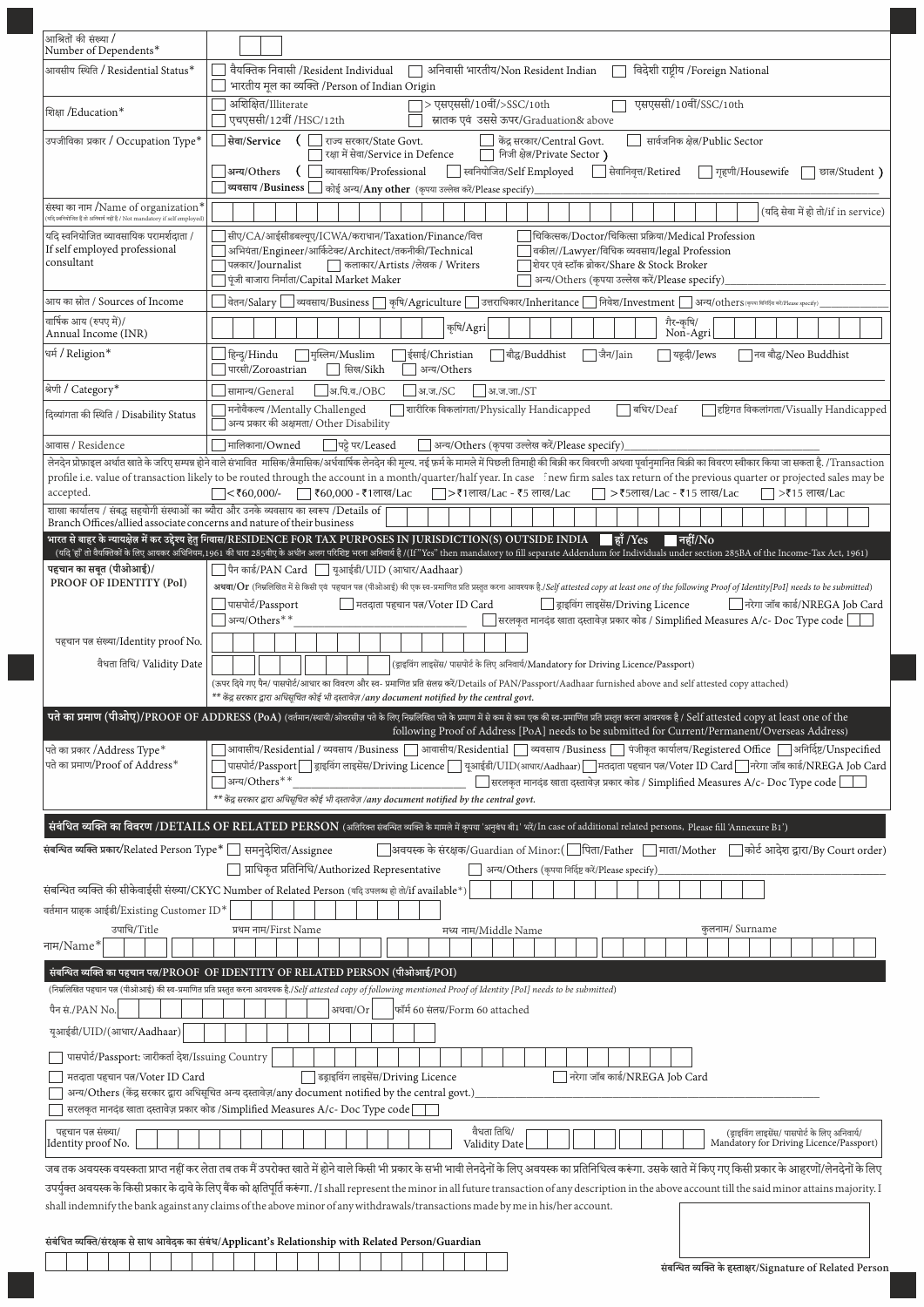| आश्रितों की संख्या /<br>Number of Dependents*                                                                         |                                                                                                                                                                                                                                                                                                                                           |
|-----------------------------------------------------------------------------------------------------------------------|-------------------------------------------------------------------------------------------------------------------------------------------------------------------------------------------------------------------------------------------------------------------------------------------------------------------------------------------|
| आवसीय स्थिति / Residential Status*                                                                                    | वैयक्तिक निवासी / Resident Individual<br>अनिवासी भारतीय/Non Resident Indian<br>विदेशी राष्टीय /Foreign National                                                                                                                                                                                                                           |
| शिक्षा /Education*                                                                                                    | भारतीय मूल का व्यक्ति /Person of Indian Origin<br>अशिक्षित/Illiterate<br> > एसएससी/10वीं/>SSC/10th<br>एसएससी/10वीं/SSC/10th                                                                                                                                                                                                               |
|                                                                                                                       | एचएससी/12वीं /HSC/12th<br>स्नातक एवं उससे ऊपर/Graduation& above                                                                                                                                                                                                                                                                           |
| उपजीविका प्रकार / Occupation Type*                                                                                    | सेवा/Service<br>€<br>केंद्र सरकार/Central Govt.<br>सार्वजनिक क्षेत्र/Public Sector<br>राज्य सरकार/State Govt.<br>निजी क्षेत्र/Private Sector)<br>रक्षा में सेवा/Service in Defence                                                                                                                                                        |
|                                                                                                                       | स्वनियोजित/Self Employed<br>व्यावसायिक/Professional<br>$\Box$ सेवानिवृत्त/Retired<br>अन्य/Others<br>$\Box$ गृहणी/Housewife<br>छात/Student)<br>व्यवसाय /Business<br>$\Box$ कोई अन्य/ $\mathbf{Any}$ $\mathbf{other}$ (कृपया उल्लेख करें/Please specify)                                                                                    |
| संस्था का नाम /Name of organization*<br>ः<br>यदि स्वनियोजित हैं तो अनिवार्य नहीं है / Not mandatory if self employed) | (यदि सेवा में हो तो/if in service)                                                                                                                                                                                                                                                                                                        |
| यदि स्वनियोजित व्यावसायिक परामर्शदाता /                                                                               | चिकित्सक/Doctor/चिकित्सा प्रक्रिया/Medical Profession<br>सीए/CA/आईसीडबल्यूए/ICWA/कराधान/Taxation/Finance/वित्त                                                                                                                                                                                                                            |
| If self employed professional<br>consultant                                                                           | अभियंता/Engineer/आर्किटेक्ट/Architect/तकनीकी/Technical<br>वकील//Lawyer/विधिक व्यवसाय/legal Profession<br>  कलाकार/Artists /लेखक / Writers<br>शियर एवं स्टॉक ब्रोकर/Share & Stock Broker<br>पत्नकार/Journalist<br>पूंजी बाजारा निर्माता/Capital Market Maker<br>अन्य/Others (कृपया उल्लेख करें/Please specify)                             |
| आय का स्रोत / Sources of Income                                                                                       | ] वेतन/Salary  __] व्यवसाय/Business   ] कृषि/Agriculture  __] उत्तराधिकार/Inheritance  __] निवेश/Investment  __] अन्य/others(कृष्ण भभक्षक कृष्ट्वाक्)                                                                                                                                                                                     |
| वार्षिक आय (रुपए में)/<br>Annual Income (INR)                                                                         | गैर-कृषि/<br>Non-Agri<br>कृषि/Agri                                                                                                                                                                                                                                                                                                        |
| धर्म / Religion*                                                                                                      | हिन्दू/Hindu<br>$\Box$ मुस्लिम/Muslim<br> ईसाई/Christian<br> बौद्ध/Buddhist<br>∃जैन/Jain<br> यह़दी/Jews<br> नव बौद्ध/Neo Buddhist<br>पारसी/Zoroastrian<br>सिख/Sikh<br>अन्य/Others                                                                                                                                                         |
| श्रेणी / Category*                                                                                                    | अ.पि.व./OBC<br>सामान्य/General<br>आ.ज./SC<br>आ.ज.जा./ST                                                                                                                                                                                                                                                                                   |
| दिव्यांगता की स्थिति / Disability Status                                                                              | मनोवैकल्य /Mentally Challenged<br>] शारीरिक विकलांगता/Physically Handicapped<br>$\Box$ बधिर/Deaf<br>]हष्टिगत विकलांगता/Visually Handicapped<br>अन्य प्रकार की अक्षमता/ Other Disability                                                                                                                                                   |
| आवास / Residence                                                                                                      | पट्टे पर/Leased<br>$\Box$ मालिकाना/ $\mathrm{Owned}$<br>] अन्य/Others (कृपया उल्लेख करें/Please specify)<br>लेनदेन प्रोफ़ाइल अर्थात खाते के जरिए सम्पन्न होने वाले संभावित  मासिक/लैमासिक/अर्धवार्षिक लेनदेन की मुल्य. नई फ़र्म के मामले में पिछली तिमाही की बिक्री कर विवरणी अथवा पूर्वानुमानित बिक्री का विवरण स्वीकार किया जा सकता है. |
|                                                                                                                       | profile i.e. value of transaction likely to be routed through the account in a month/quarter/half year. In case fnew firm sales tax return of the previous quarter or projected sales may be                                                                                                                                              |
| accepted.                                                                                                             | $\sqrt{560,000}$<br><b>। ₹60,000 - ₹1लाख/Lac</b><br>$\Box$ > ₹1लाख/Lac - ₹5 लाख/Lac<br>>₹15 लाख/Lac<br>  > ₹5लाख/Lac - ₹15 लाख/Lac<br>शाखा कार्यालय / संबद्ध सहयोगी संस्थाओं का ब्यौरा और उनके व्यवसाय का स्वरूप /Details of                                                                                                              |
| Branch Offices/allied associate concerns and nature of their business                                                 | भारत से बाहर के न्यायक्षेत्र में कर उद्देश्य हेतु निवास/RESIDENCE FOR TAX PURPOSES IN JURISDICTION(S) OUTSIDE INDIA<br>$\blacksquare$ हाँ /Yes<br>∣नहीं/No                                                                                                                                                                                |
|                                                                                                                       | (यदि 'हाँ तो वैयक्तिको के लिए आयकर अधिनियम,1961 की धारा 285वीए के अधीन अलग परिशिष्ट भरना अनिवार्य है (/[f"Yes" then mandatory to fill separate Addendum for Individuals under section 285BA of the Income-Tax Act, 1961)                                                                                                                  |
| पहचान का सबूत (पीओआई)/<br>PROOF OF IDENTITY (PoI)                                                                     | ि पैन कार्ड/PAN Card     युआईडी/UID (आधार/Aadhaar)<br>अथवा/Or (निम्नलिखित में से किसी एवं पहचान पत्न (पीओआई) की एक स्व-प्रमाणित प्रति प्रस्तुत करना आवश्यक है./Self attested copy at least one of the following Proof of Identity[PoI] needs to be submitted)                                                                             |
|                                                                                                                       | पासपोर्ट/Passport<br>निरेगा जॉब कार्ड/NREGA Job Card<br>    मतदाता पहचान पत्न/Voter ID Card<br>   ड्राइविंग लाइसेंस/Driving Licence                                                                                                                                                                                                       |
| पहचान पत्न संख्या/Identity proof No.                                                                                  | अन्य/Others**<br>$\Box$ सरलकृत मानदंड खाता दस्तावेज़ प्रकार कोड / Simplified Measures A/c- Doc Type code $\vert$                                                                                                                                                                                                                          |
| वैधता तिथि/ Validity Date                                                                                             | (ड्राइविंग लाइसेंस/ पासपोर्ट के लिए अनिवार्य/Mandatory for Driving Licence/Passport)                                                                                                                                                                                                                                                      |
|                                                                                                                       | (ऊपर दिये गए पैन/ पासपोर्ट/आधार का विवरण और स्व- प्रमाणित प्रति संलग्न करें/Details of PAN/Passport/Aadhaar furnished above and self attested copy attached)<br>$^{**}$ केंद्र सरकार द्वारा अधिसूचित कोई भी दस्तावेज़ /any document notified by the central govt.                                                                         |
|                                                                                                                       | पते का प्रमाण (पीओए)/PROOF OF ADDRESS (PoA) (वर्तमान/स्थायी/ओवरसीज़ पते के लिए निमलिखित पते के प्रमाण में से कम से कम एक की स्व-प्रमाणित प्रति प्रस्तुत करना आवश्यक है / Self attested copy at least one of the                                                                                                                           |
| पते का प्रकार /Address Type*                                                                                          | following Proof of Address [PoA] needs to be submitted for Current/Permanent/Overseas Address)<br>आवासीय/Residential / व्यवसाय /Business [ ] आवासीय/Residential [ ] व्यवसाय /Business [ ] पंजीकृत कार्यालय/Registered Office [ ] अनिर्दिष्ट/Unspecified                                                                                   |
| पते का प्रमाण/Proof of Address $^\ast$                                                                                | पासपोर्ट/Passport   ड्राइविंग लाइसेंस/Driving Licence   यूआईडी/UID(आधार/Aadhaar)   मतदाता पहचान पत्न/Voter ID Card   नरेगा जॉब कार्ड/NREGA Job Card                                                                                                                                                                                       |
|                                                                                                                       | ]अन्य/Others**<br>$\Box$ सरलकृत मानदंड खाता दस्तावेज़ प्रकार कोड / Simplified Measures A/c- Doc Type code [<br>** केंद्र सरकार द्वारा अधिसचित कोई भी दस्तावेज़ /any document notified by the central govt.                                                                                                                                |
|                                                                                                                       | र्सबंधित व्यक्ति का विवरण /DETAILS OF RELATED PERSON (अतिरिक्त संबन्धित व्यक्ति के मामले में कृपया 'अनुबंध बी1' भरें/In case of additional related persons, Please fill 'Annexure B1')                                                                                                                                                    |
| संबन्धित व्यक्ति प्रकार/Related Person Type*   समनुदेशित/Assignee                                                     | <b>△अवयस्क के संरक्षक/</b> Guardian of Minor:(॑॑बिता/Father └॒ माता/Mother └॒ कोर्ट आदेश द्वारा/By Court order)                                                                                                                                                                                                                           |
|                                                                                                                       | प्राधिकृत प्रतिनिधि/Authorized Representative<br>अन्य/Others (कृपया निर्दिष्ट करें/Please specify)                                                                                                                                                                                                                                        |
| वर्तमान ग्राहक आईडी/Existing Customer ID*                                                                             | संबन्धित व्यक्ति की सीकेवाईसी संख्या/CKYC Number of Related Person (यदि उपलब्ध हो तो/if available*)                                                                                                                                                                                                                                       |
| उपाधि/Title                                                                                                           | कुलनाम/ Surname<br>प्रथम नाम/First Name<br>मध्य नाम/Middle Name                                                                                                                                                                                                                                                                           |
| नाम/Name*                                                                                                             |                                                                                                                                                                                                                                                                                                                                           |
|                                                                                                                       | संबन्धित व्यक्ति का पहचान पत्न/PROOF  OF IDENTITY OF RELATED PERSON (पीओआई/POI)<br>(निम्नलिखित पहचान पत्न (पीओआई) की स्व-प्रमाणित प्रति प्रस्तुत करना आवश्यक है./Self attested copy of following mentioned Proof of Identity [PoI] needs to be submitted)                                                                                 |
| पैन सं./PAN No.                                                                                                       | फॉर्म 60 संलग्न/Form 60 attached<br>अथवा/Or                                                                                                                                                                                                                                                                                               |
| यूआईडी/UID/(आधार/Aadhaar)                                                                                             |                                                                                                                                                                                                                                                                                                                                           |
| पासपोर्ट/Passport: जारीकर्ता देश/Issuing Country                                                                      |                                                                                                                                                                                                                                                                                                                                           |
| मतदाता पहचान पत्न/Voter ID Card                                                                                       | $\overline{\phantom{a}}$ डड्राइविंग लाइसेंस/ $\overline{\phantom{a}}$ Driving Licence<br>नरेगा जॉब कार्ड/NREGA Job Card                                                                                                                                                                                                                   |
|                                                                                                                       | अन्य/Others (केंद्र सरकार द्वारा अधिसूचित अन्य दस्तावेज़/any document notified by the central govt.)<br>सरलकृत मानदंड खाता दस्तावेज़ प्रकार कोड /Simplified Measures A/c- Doc Type code                                                                                                                                                   |
| पहचान पत्न संख्या/<br>Identity proof No.                                                                              | वैधता तिथि/<br>(ड्राइविंग लाइसेंस/ पासपोर्ट के लिए अनिवार्य/<br>Mandatory for Driving Licence/Passport)<br>Validity Date                                                                                                                                                                                                                  |
|                                                                                                                       | जब तक अवयस्क वयस्कता प्राप्त नहीं कर लेता तब तक मैं उपरोक्त खाते में होने वाले किसी भी प्रकार के सभी भावी लेनदेनों के लिए अवयस्क का प्रतिनिधित्व करूंगा. उसके खाते में किए गए किसी प्रकार के आहरणों/लेनदेनों के लिए                                                                                                                       |
|                                                                                                                       | उपर्युक्त अवयस्क के किसी प्रकार के दावे के लिए बैंक को क्षतिपूर्ति करूंगा. /I shall represent the minor in all future transaction of any description in the above account till the said minor attains majority. I                                                                                                                         |
|                                                                                                                       | shall indemnify the bank against any claims of the above minor of any withdrawals/transactions made by me in his/her account.                                                                                                                                                                                                             |
|                                                                                                                       | संबंधित व्यक्ति/संरक्षक से साथ आवेदक का संबंध/Applicant's Relationship with Related Person/Guardian                                                                                                                                                                                                                                       |
|                                                                                                                       | संबन्धित व्यक्ति के हस्ताक्षर/Signature of Related Person                                                                                                                                                                                                                                                                                 |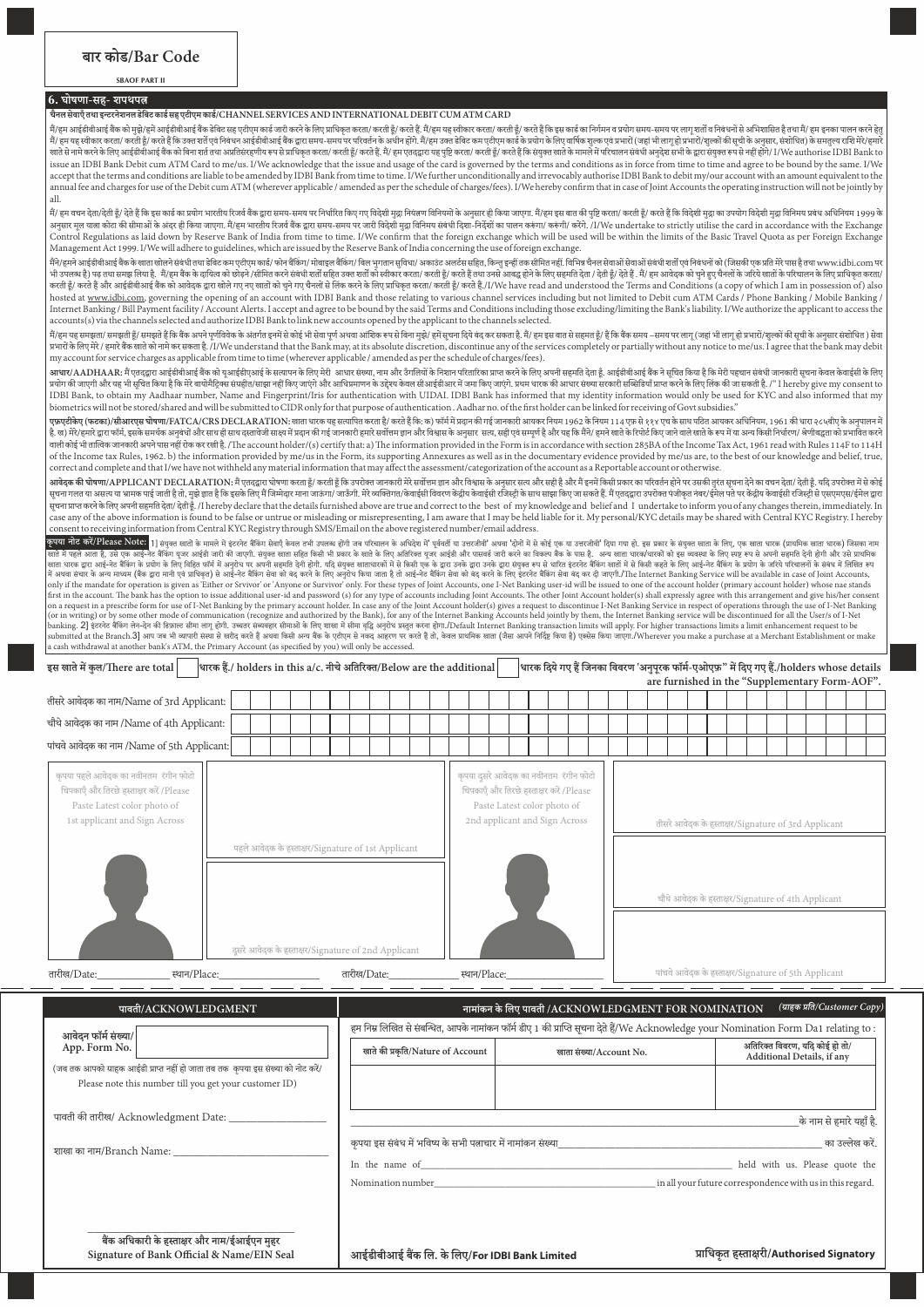## **SBAOF PART II**

### **6.** घोषणा-सह- शपथपत्न

#### **चैनल सेवाएँतथा इरनेशनल डेबट काड सह एटीएम काड/CHANNEL SERVICES AND INTERNATIONAL DEBIT CUM ATM CARD**

.<br>मैं/हम आईडीबीआई बैंक को मुझे/हमें आईडीबीआई बैंक डेबिट सह एटीएम कार्ड जाए. कर के लिए प्राधिकत करता/ करती हूँ/ हम सह स्वीकार करता/ करती हूँ/ करते हैं कि इस कार्ड का लिर्गमन व प्रयोग समय-समय पर लागू शर्तों व निबंधनों से अभ मैं/ हम यह स्वीकार करता/ करती है/ करते हैं कि उत्त शर्तें पर निबंधन आईडीबीआई बैंक दारा समय पर परिवर्तन के अधीन होंगे. मैं/हम उत्त डेबिट कम पटीएम कार्ड के प्रयोग के लिए वार्षिक शल्क एवं प्रभारों (जहां भी लाग हो प्रभारों (श साते से नामे करने के लिए आईडीबीआई बैंक को बिना शर्त तथा अप्रतिसरलगी कर से ही कित तरह हैं। हम एतदद्वारा यह पुष्टि करता/ करती हैं/ करते हैं कि संयुक्त साते के मानते में परिचालन संबंधी अनुदेश सभी के द्वारा संयुक्त रूप से नही issue an IDBI Bank Debit cum ATM Card to me/us. I/We acknowledge that the issue and usage of the card is governed by the terms and conditions as in force from time to time and agree to be bound by the same. I/We accept that the terms and conditions are liable to be amended by IDBI Bank from time to time. I/We further unconditionally and irrevocably authorise IDBI Bank to debit my/our account with an amount equivalent to the annual fee and charges for use of the Debit cum ATM (wherever applicable / amended as per the schedule of charges/fees). I/We hereby confirm that in case of Joint Accounts the operating instruction will not be jointly by all.

.<br>मैं/ हम वचन देता/देती हूँ/ देते हैं कि इस कार्ड का प्रयोग भारतीय रिजर्व के द्वारा समय-समय पर निर्धारत किया पिटेशी मुद्रा नियंतलण विनियमों के अनुसार ही किया जाएगा. मैं/हम इस बात की पुष्टि करता/ करती हूँ/ करते हैं कि विदे अनुसार मूल याला कोटा की सीमाओं के अंदर ही किया जाएगा. मैं/हम भारतीय रिजर्व बैंक द्वारा समय-समय पर जारी विदेशों मुद्रा विनिमय संबंधी दिशा-निर्देशों का पालन करूंगा/ करेंगे./ गो/We undertake to strictly utilise the card in a Control Regulations as laid down by Reserve Bank of India from time to time. I/We confirm that the foreign exchange which will be used will be within the limits of the Basic Travel Quota as per Foreign Exchange Management Act 1999. I/We will adhere to guidelines, which are issued by the Reserve Bank of India concerning the use of foreign exchange.

.<br>मैंने/हमने आईडीबीआई बैंक के खाता खोलने संबंधी तथा बैंबिट कम एटीएम काई/फोन बैंकिंग/ मेल इल बैंकिंग/ बिल भुगतान सुविधा/ अकाउंट अलर्टस सहित, किन्तु इन्हीं तक सीमित नहीं. विभिन्न चैनल सेवाओं सेवधी शतों एवं निबंधनों को (जिसक भी उपलब है) पढ़तथा समझलिया है. मैं/हम बैंक के दायित्व को छोड़ने /सीमिकरने बंबी शर्ती ही उनते को बना करता/ करती हूँ/ करते हैं राजने आवद्ध को तो दिल हैं/ देते हैं. मैं/ हम आवेदक को चुने हुए चैनलों के जरिये खातों के परिचालन hosted at www.idbi.com, governing the opening of an account with IDBI Bank and those relating to various channel services including but not limited to Debit cum ATM Cards / Phone Banking / Mobile Banking / Mobile Banking / Internet Banking / Bill Payment facility / Account Alerts. I accept and agree to be bound by the said Terms and Conditions including those excluding/limiting the Bank's liability. I/We authorize the applicant to access the accounts(s) via the channels selected and authorize IDBI Bank to link new accounts opened by the applicant to the channels selected.

म/हम यह समझता/ समझती ँ/ समझत ेह िक बक अपने पूणववेक केअतं गत इनम से कोई भी सेवा पूण अथवा आंशक प से बना मुझ/े हम सूचना िदये बंद कर सकता ह.ैम/ हम इस बात से सहमत ँ/ ह िक बक समय –समय पर लागू (जहा ंभी लागू हो भारो/ं शुो ंक सूची केअनुसार संशोधत ) सेवा प्रभारों के लिए मेरे / हमारे बैंक खाते को नामे कर सकता है. / I/We understand that the Bank may, at its absolute discretion, discontinue any of the services completely or partially without any notice to me/us. I agree that my account for service charges as applicable from time to time (wherever applicable / amended as per the schedule of charges/fees).

आधार/AADHAAR: मैं एतदद्वारा आईडीबीआई बैंक को यआईडीएआई के सरापन के लिए आग परतारका प्राप्त करने केलिए अपनी सहमति देता हैं. आईडीबीआई बैंक ने सचित किया है कि मेरी पहचान संबंधी जानकारी सचना केवल केवाईसी के लिए अपनी सहमति देता योग क जाएगी और यह भी सूचत ं िकया ह ैिक मेरेबायोमैिट संहीत/साझा नही ंिकए जाएंगे और आधमाणन केउे केवल सीआईडीआर म जमा िकए जाएंगे. थम धारक क आधार संा सरकारी सिडया ँा करने केलए लक क जा सकती ह.ै/ I hereby give my consent to IDBI Bank, to obtain my Aadhaar number, Name and Fingerprint/Iris for authentication with UIDAI. IDBI Bank has informed that my identity information would only be used for KYC and also informed that my biometrics will not be stored/shared and will be submitted to CIDR only for that purpose of authentication . Aadhar no. of the first holder can be linked for receiving of Govt subsidies.

**एफ़एटीकेए (फटका)/सीआरएस घोषणा/FATCA/CRS DECLARATION:** खाता धारक यह सापत करता ह/ै करत ेह िक: क) फॉम म दान क गई जानकारी आयकर नयम 1962 केनयम 114 एफ़ से ११४ एच केसाथ पिठत आयकर अधनयम, 1961 क धारा २८५बीए केअनुपालन म है. ख) मेरे/हमारे दाय फॉम, इसके समर्थक अनुबंधों और साथ दासावेजी साथ में प्रदान का जानकारी हमारे का अनुसार से असम स, सही एवं समर्थ है और यह कि मैंने/ हमने खाते केरिपोर्ट किए जाने वाले खाते के रूप में या अन्य किसी निर्धारण/ वाली कोई भी तात्विक जानकारी अपने पास नहीं रोक कर रखी है. /The account holder/(s) certify that: a) The information provided in the Form is in accordance with section 285BA of the Income Tax Act, 1961 read with Rules 114F t of the Income tax Rules, 1962. b) the information provided by me/us in the Form, its supporting Annexures as well as in the documentary evidence provided by me/us are, to the best of our knowledge and belief, true, correct and complete and that I/we have not withheld any material information that may affect the assessment/categorization of the account as a Reportable account or otherwise.

आ<mark>वेदक की घोषणा/APPLICANT DECLARATION</mark>: मैं एतदारा घोषणा करता है/ करती है कि उपरोक्त जानकारी मेरे सवींतम जाने विभास के अनुसार सत्य और सही और मैं इनमें किसी प्रकार का परिवर्तन होने पर उसकी तरंत सचना देने का वचन देता/ देती सन् गलत या असद या आमक पाई जाती हो। मुझे कात ही केवाद में जिम्मेदार माना जाऊंगा/ जाऊँगी. मेरे व्यक्तगत/केवाईसी विवरण केदीय केवाईसी रजिस्टी के साथ साझा किए जा सकते हैं, मैं एतदारा उपरोक्त पंजीकत नंबर/ईमेल पते पर केदीय केवाईस सूचना ा करने केलए अपनी सहमत देता/ देती ँ. /I hereby declare that the details furnished above are true and correct to the best of my knowledge and belief and I undertake to inform you of any changes therein, immediately. In case any of the above information is found to be false or untrue or misleading or misrepresenting, I am aware that I may be held liable for it. My personal/KYC details may be shared with Central KYC Registry. I hereby consent to receiving information from Central KYC Registry through SMS/Email on the above registered number/email address.

**कृपया नोट करें/Please Note: 1]** संयुक्त खतों के माले में इंटनेट बैंकिंग सेवाएँ केवल तभी उपलब्ध होंगे जब बीज की पुरुषों पूर्वती या उत्तर बात को इस प्रवादी दिया गया हो. इस प्रकार के संयुक्त खाता के लिए, एक खाता पारक (प्राथ खाता धारक ारा आई-नेट बिकगं के योग के ं ं लए विहत फॉममअनुरोध पर अपनी सहमत देनी होगी. यिद संयु खाताधारकोंमसेिकसी एक के ारा उनके ारा उनके ारा संयु प सेधारत इंटरनेट बिकग खातोंमसेिकसी कहतेकेलए आई-नेट बिकग के योग केजरयेपरचालनोंके संबंध मलखत प मअथवा स ं ं ं ंचार केअ माम (बक ारा मानी एवं ाधकृत) सेआई-नेट बिकग सेवा को बंद करनेकेलए अनुरोध िकया जाता हैतो आई-नेट बिकग सेवा को बंद करनेकेलए इंटरनेट बिकग सेवा बंद कर दी जाएगी./e Internet Banking Service will be available in case of Joint Accounts, only if the mandate for operation is given as 'Either or Srvivor' or 'Anyone or Survivor' only. For these types of Joint Accounts, one I-Net Banking user-id will be issued to one of the account holder (primary account holder) whose nae stands first in the account. The bank has the option to issue additional user-id and password (s) for any type of accounts including Joint Accounts. The other Joint Account holder(s) shall expressly agree with this arrangement an (or in writing) or by some other mode of communication (recognize and authorized by the Bank), for any of the Internet Banking Accounts held jointly by them, the Internet Banking service will be discontinued for all the U a cash withdrawal at another bank's ATM, the Primary Account (as specified by you) will only be accessed.

| इस खाते में कुल/There are total  <br> धारक हैं./ holders in this a/c. नीचे अतिरिक्त/Below are the additional <br>थारक दिये गए हैं जिनका विवरण 'अनुपूरक फॉर्म-एओएफ़" में दिए गए हैं./holders whose details <br>are furnished in the "Supplementary Form-AOF". |                                                                                                           |                                                                                                                                                                            |              |                                                                                                                                                   |  |                                                                                                           |                                                      |  |  |                                                              |                              |  |  |  |  |  |
|--------------------------------------------------------------------------------------------------------------------------------------------------------------------------------------------------------------------------------------------------------------|-----------------------------------------------------------------------------------------------------------|----------------------------------------------------------------------------------------------------------------------------------------------------------------------------|--------------|---------------------------------------------------------------------------------------------------------------------------------------------------|--|-----------------------------------------------------------------------------------------------------------|------------------------------------------------------|--|--|--------------------------------------------------------------|------------------------------|--|--|--|--|--|
| तीसरे आवेदक का नाम/Name of 3rd Applicant:                                                                                                                                                                                                                    |                                                                                                           |                                                                                                                                                                            |              |                                                                                                                                                   |  |                                                                                                           |                                                      |  |  |                                                              |                              |  |  |  |  |  |
| चौथे आवेदक का नाम /Name of 4th Applicant:                                                                                                                                                                                                                    |                                                                                                           |                                                                                                                                                                            |              |                                                                                                                                                   |  |                                                                                                           |                                                      |  |  |                                                              |                              |  |  |  |  |  |
| पांचवे आवेदक का नाम /Name of 5th Applicant:                                                                                                                                                                                                                  |                                                                                                           |                                                                                                                                                                            |              |                                                                                                                                                   |  |                                                                                                           |                                                      |  |  |                                                              |                              |  |  |  |  |  |
| कपया पहले आवेदक का नवीनतम रंगीन फोटो<br>चिपकाएँ और तिरछे हस्ताक्षर करें /Please<br>Paste Latest color photo of<br>1st applicant and Sign Across                                                                                                              | पहले आवेदक के हस्ताक्षर/Signature of 1st Applicant<br>दुसरे आवेदक के हस्ताक्षर/Signature of 2nd Applicant |                                                                                                                                                                            |              | कृपया दुसरे आवेदक का नवीनतम रंगीन फोटो<br>चिपकाएँ और तिरछे हस्ताक्षर करें /Please<br>Paste Latest color photo of<br>2nd applicant and Sign Across |  | तीसरे आवेदक के हस्ताक्षर/Signature of 3rd Applicant<br>चौथे आवेदक के हस्ताक्षर/Signature of 4th Applicant |                                                      |  |  |                                                              |                              |  |  |  |  |  |
| तारीख/Date:<br>स्थान/Place:                                                                                                                                                                                                                                  |                                                                                                           | तारीख/Date:                                                                                                                                                                | स्थान/Place: |                                                                                                                                                   |  |                                                                                                           | पांचवे आवेदक के हस्ताक्षर/Signature of 5th Applicant |  |  |                                                              |                              |  |  |  |  |  |
| पावती/ACKNOWLEDGMENT<br>आवेदन फॉर्म संख्या/<br>App. Form No.<br>(जब तक आपको ग्राहक आईडी प्राप्त नहीं हो जाता तब तक कृपया इस संख्या को नोट करें/<br>Please note this number till you get your customer ID)                                                    |                                                                                                           | हम निम्न लिखित से संबन्धित, आपके नामांकन फॉर्म डीए 1 की प्राप्ति सूचना देते हैं/We Acknowledge your Nomination Form Da1 relating to :<br>खाते की प्रकृति/Nature of Account |              | नामांकन के लिए पावती /ACKNOWLEDGMENT FOR NOMINATION<br>खाता संख्या/Account No.                                                                    |  |                                                                                                           |                                                      |  |  | अतिरिक्त विवरण, यदि कोई हो तो/<br>Additional Details, if any | (ग्राहक प्रति/Customer Copy) |  |  |  |  |  |

पावती की तारीख/ Acknowledgment Date:

 $\mathbf{r}$  $\overline{\phantom{0}}$ 

शाखा का नाम/Branch Name:

Nomination number\_\_\_\_\_\_\_\_\_\_\_\_\_\_\_\_\_\_\_\_\_\_\_\_\_\_\_\_\_\_\_\_\_\_\_\_\_\_\_\_\_\_\_\_ in all your future correspondence with us in this regard.

कपया इस संबंध में भविष्य के सभी पत्नाचार में नामांकन संख्या किया जिल्ला करते हैं। अब को उल्लेख करें का उल्लेख क In the name of **the name of the name of the name of**  $\blacksquare$  held with us. Please quote the

**\_\_\_\_\_\_\_\_\_\_\_\_\_\_\_\_\_\_\_\_\_\_\_\_\_\_\_\_\_\_\_\_\_\_\_\_** बैंक अधिकारी के हस्ताक्षर और नाम/ईआईएन मुहर<br>Signature of Bank Official & Name/EIN Seal

**Signature of Bank Official & Name/EIN Seal आईडीबीआई बक ल. के लए /For IDBI Bank Limited ाधकृत हारी/Authorised Signatory** 

\_\_\_\_\_\_\_\_\_\_\_\_\_\_\_\_\_\_\_\_\_\_\_\_\_\_\_\_\_\_\_\_\_\_\_\_\_\_\_\_\_\_\_\_\_\_\_\_\_\_\_\_\_\_\_\_\_\_\_\_\_\_\_\_\_\_\_\_\_\_\_\_\_\_\_\_\_\_के नाम से हमारे यहा ँह.ै